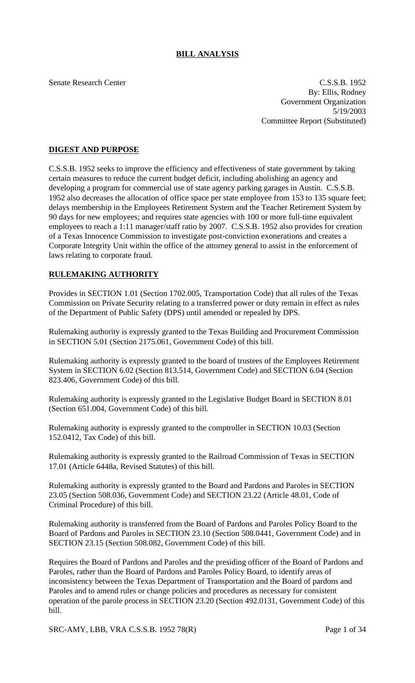# **BILL ANALYSIS**

Senate Research Center C.S.S.B. 1952 By: Ellis, Rodney Government Organization 5/19/2003 Committee Report (Substituted)

### **DIGEST AND PURPOSE**

C.S.S.B. 1952 seeks to improve the efficiency and effectiveness of state government by taking certain measures to reduce the current budget deficit, including abolishing an agency and developing a program for commercial use of state agency parking garages in Austin. C.S.S.B. 1952 also decreases the allocation of office space per state employee from 153 to 135 square feet; delays membership in the Employees Retirement System and the Teacher Retirement System by 90 days for new employees; and requires state agencies with 100 or more full-time equivalent employees to reach a 1:11 manager/staff ratio by 2007. C.S.S.B. 1952 also provides for creation of a Texas Innocence Commission to investigate post-conviction exonerations and creates a Corporate Integrity Unit within the office of the attorney general to assist in the enforcement of laws relating to corporate fraud.

#### **RULEMAKING AUTHORITY**

Provides in SECTION 1.01 (Section 1702.005, Transportation Code) that all rules of the Texas Commission on Private Security relating to a transferred power or duty remain in effect as rules of the Department of Public Safety (DPS) until amended or repealed by DPS.

Rulemaking authority is expressly granted to the Texas Building and Procurement Commission in SECTION 5.01 (Section 2175.061, Government Code) of this bill.

Rulemaking authority is expressly granted to the board of trustees of the Employees Retirement System in SECTION 6.02 (Section 813.514, Government Code) and SECTION 6.04 (Section 823.406, Government Code) of this bill.

Rulemaking authority is expressly granted to the Legislative Budget Board in SECTION 8.01 (Section 651.004, Government Code) of this bill.

Rulemaking authority is expressly granted to the comptroller in SECTION 10.03 (Section 152.0412, Tax Code) of this bill.

Rulemaking authority is expressly granted to the Railroad Commission of Texas in SECTION 17.01 (Article 6448a, Revised Statutes) of this bill.

Rulemaking authority is expressly granted to the Board and Pardons and Paroles in SECTION 23.05 (Section 508.036, Government Code) and SECTION 23.22 (Article 48.01, Code of Criminal Procedure) of this bill.

Rulemaking authority is transferred from the Board of Pardons and Paroles Policy Board to the Board of Pardons and Paroles in SECTION 23.10 (Section 508.0441, Government Code) and in SECTION 23.15 (Section 508.082, Government Code) of this bill.

Requires the Board of Pardons and Paroles and the presiding officer of the Board of Pardons and Paroles, rather than the Board of Pardons and Paroles Policy Board, to identify areas of inconsistency between the Texas Department of Transportation and the Board of pardons and Paroles and to amend rules or change policies and procedures as necessary for consistent operation of the parole process in SECTION 23.20 (Section 492.0131, Government Code) of this bill.

SRC-AMY, LBB, VRA C.S.S.B. 1952 78(R) Page 1 of 34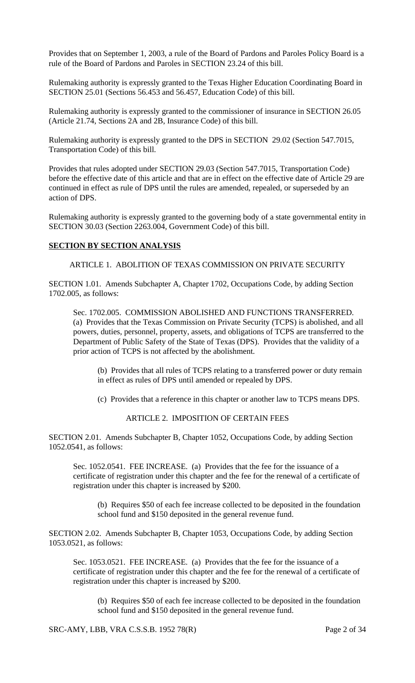Provides that on September 1, 2003, a rule of the Board of Pardons and Paroles Policy Board is a rule of the Board of Pardons and Paroles in SECTION 23.24 of this bill.

Rulemaking authority is expressly granted to the Texas Higher Education Coordinating Board in SECTION 25.01 (Sections 56.453 and 56.457, Education Code) of this bill.

Rulemaking authority is expressly granted to the commissioner of insurance in SECTION 26.05 (Article 21.74, Sections 2A and 2B, Insurance Code) of this bill.

Rulemaking authority is expressly granted to the DPS in SECTION 29.02 (Section 547.7015, Transportation Code) of this bill.

Provides that rules adopted under SECTION 29.03 (Section 547.7015, Transportation Code) before the effective date of this article and that are in effect on the effective date of Article 29 are continued in effect as rule of DPS until the rules are amended, repealed, or superseded by an action of DPS.

Rulemaking authority is expressly granted to the governing body of a state governmental entity in SECTION 30.03 (Section 2263.004, Government Code) of this bill.

#### **SECTION BY SECTION ANALYSIS**

ARTICLE 1. ABOLITION OF TEXAS COMMISSION ON PRIVATE SECURITY

SECTION 1.01. Amends Subchapter A, Chapter 1702, Occupations Code, by adding Section 1702.005, as follows:

Sec. 1702.005. COMMISSION ABOLISHED AND FUNCTIONS TRANSFERRED. (a) Provides that the Texas Commission on Private Security (TCPS) is abolished, and all powers, duties, personnel, property, assets, and obligations of TCPS are transferred to the Department of Public Safety of the State of Texas (DPS). Provides that the validity of a prior action of TCPS is not affected by the abolishment.

(b) Provides that all rules of TCPS relating to a transferred power or duty remain in effect as rules of DPS until amended or repealed by DPS.

(c) Provides that a reference in this chapter or another law to TCPS means DPS.

ARTICLE 2. IMPOSITION OF CERTAIN FEES

SECTION 2.01. Amends Subchapter B, Chapter 1052, Occupations Code, by adding Section 1052.0541, as follows:

Sec. 1052.0541. FEE INCREASE. (a) Provides that the fee for the issuance of a certificate of registration under this chapter and the fee for the renewal of a certificate of registration under this chapter is increased by \$200.

(b) Requires \$50 of each fee increase collected to be deposited in the foundation school fund and \$150 deposited in the general revenue fund.

SECTION 2.02. Amends Subchapter B, Chapter 1053, Occupations Code, by adding Section 1053.0521, as follows:

Sec. 1053.0521. FEE INCREASE. (a) Provides that the fee for the issuance of a certificate of registration under this chapter and the fee for the renewal of a certificate of registration under this chapter is increased by \$200.

(b) Requires \$50 of each fee increase collected to be deposited in the foundation school fund and \$150 deposited in the general revenue fund.

SRC-AMY, LBB, VRA C.S.S.B. 1952 78(R) Page 2 of 34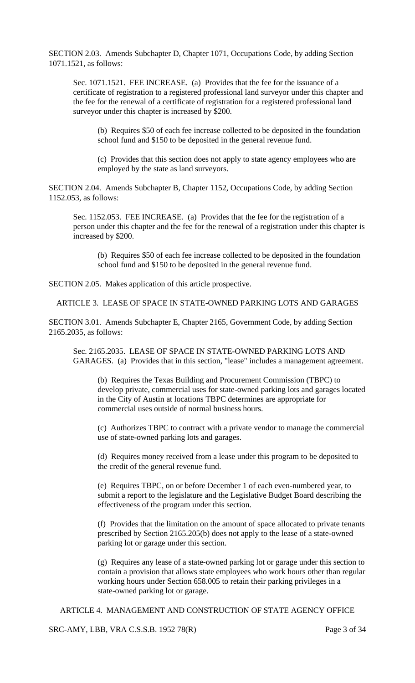SECTION 2.03. Amends Subchapter D, Chapter 1071, Occupations Code, by adding Section 1071.1521, as follows:

Sec. 1071.1521. FEE INCREASE. (a) Provides that the fee for the issuance of a certificate of registration to a registered professional land surveyor under this chapter and the fee for the renewal of a certificate of registration for a registered professional land surveyor under this chapter is increased by \$200.

(b) Requires \$50 of each fee increase collected to be deposited in the foundation school fund and \$150 to be deposited in the general revenue fund.

(c) Provides that this section does not apply to state agency employees who are employed by the state as land surveyors.

SECTION 2.04. Amends Subchapter B, Chapter 1152, Occupations Code, by adding Section 1152.053, as follows:

Sec. 1152.053. FEE INCREASE. (a) Provides that the fee for the registration of a person under this chapter and the fee for the renewal of a registration under this chapter is increased by \$200.

(b) Requires \$50 of each fee increase collected to be deposited in the foundation school fund and \$150 to be deposited in the general revenue fund.

SECTION 2.05. Makes application of this article prospective.

ARTICLE 3. LEASE OF SPACE IN STATE-OWNED PARKING LOTS AND GARAGES

SECTION 3.01. Amends Subchapter E, Chapter 2165, Government Code, by adding Section 2165.2035, as follows:

Sec. 2165.2035. LEASE OF SPACE IN STATE-OWNED PARKING LOTS AND GARAGES. (a) Provides that in this section, "lease" includes a management agreement.

(b) Requires the Texas Building and Procurement Commission (TBPC) to develop private, commercial uses for state-owned parking lots and garages located in the City of Austin at locations TBPC determines are appropriate for commercial uses outside of normal business hours.

(c) Authorizes TBPC to contract with a private vendor to manage the commercial use of state-owned parking lots and garages.

(d) Requires money received from a lease under this program to be deposited to the credit of the general revenue fund.

(e) Requires TBPC, on or before December 1 of each even-numbered year, to submit a report to the legislature and the Legislative Budget Board describing the effectiveness of the program under this section.

(f) Provides that the limitation on the amount of space allocated to private tenants prescribed by Section 2165.205(b) does not apply to the lease of a state-owned parking lot or garage under this section.

(g) Requires any lease of a state-owned parking lot or garage under this section to contain a provision that allows state employees who work hours other than regular working hours under Section 658.005 to retain their parking privileges in a state-owned parking lot or garage.

ARTICLE 4. MANAGEMENT AND CONSTRUCTION OF STATE AGENCY OFFICE

SRC-AMY, LBB, VRA C.S.S.B. 1952 78(R) Page 3 of 34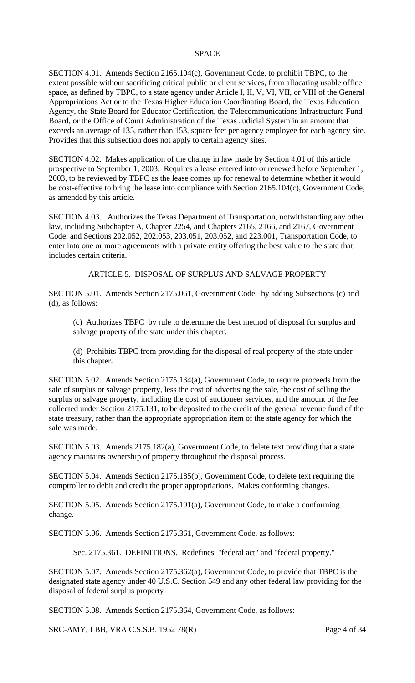#### **SPACE**

SECTION 4.01. Amends Section 2165.104(c), Government Code, to prohibit TBPC, to the extent possible without sacrificing critical public or client services, from allocating usable office space, as defined by TBPC, to a state agency under Article I, II, V, VI, VII, or VIII of the General Appropriations Act or to the Texas Higher Education Coordinating Board, the Texas Education Agency, the State Board for Educator Certification, the Telecommunications Infrastructure Fund Board, or the Office of Court Administration of the Texas Judicial System in an amount that exceeds an average of 135, rather than 153, square feet per agency employee for each agency site. Provides that this subsection does not apply to certain agency sites.

SECTION 4.02. Makes application of the change in law made by Section 4.01 of this article prospective to September 1, 2003. Requires a lease entered into or renewed before September 1, 2003, to be reviewed by TBPC as the lease comes up for renewal to determine whether it would be cost-effective to bring the lease into compliance with Section 2165.104(c), Government Code, as amended by this article.

SECTION 4.03. Authorizes the Texas Department of Transportation, notwithstanding any other law, including Subchapter A, Chapter 2254, and Chapters 2165, 2166, and 2167, Government Code, and Sections 202.052, 202.053, 203.051, 203.052, and 223.001, Transportation Code, to enter into one or more agreements with a private entity offering the best value to the state that includes certain criteria.

ARTICLE 5. DISPOSAL OF SURPLUS AND SALVAGE PROPERTY

SECTION 5.01. Amends Section 2175.061, Government Code, by adding Subsections (c) and (d), as follows:

(c) Authorizes TBPC by rule to determine the best method of disposal for surplus and salvage property of the state under this chapter.

(d) Prohibits TBPC from providing for the disposal of real property of the state under this chapter.

SECTION 5.02. Amends Section 2175.134(a), Government Code, to require proceeds from the sale of surplus or salvage property, less the cost of advertising the sale, the cost of selling the surplus or salvage property, including the cost of auctioneer services, and the amount of the fee collected under Section 2175.131, to be deposited to the credit of the general revenue fund of the state treasury, rather than the appropriate appropriation item of the state agency for which the sale was made.

SECTION 5.03. Amends 2175.182(a), Government Code, to delete text providing that a state agency maintains ownership of property throughout the disposal process.

SECTION 5.04. Amends Section 2175.185(b), Government Code, to delete text requiring the comptroller to debit and credit the proper appropriations. Makes conforming changes.

SECTION 5.05. Amends Section 2175.191(a), Government Code, to make a conforming change.

SECTION 5.06. Amends Section 2175.361, Government Code, as follows:

Sec. 2175.361. DEFINITIONS. Redefines "federal act" and "federal property."

SECTION 5.07. Amends Section 2175.362(a), Government Code, to provide that TBPC is the designated state agency under 40 U.S.C. Section 549 and any other federal law providing for the disposal of federal surplus property

SECTION 5.08. Amends Section 2175.364, Government Code, as follows:

SRC-AMY, LBB, VRA C.S.S.B. 1952 78(R) Page 4 of 34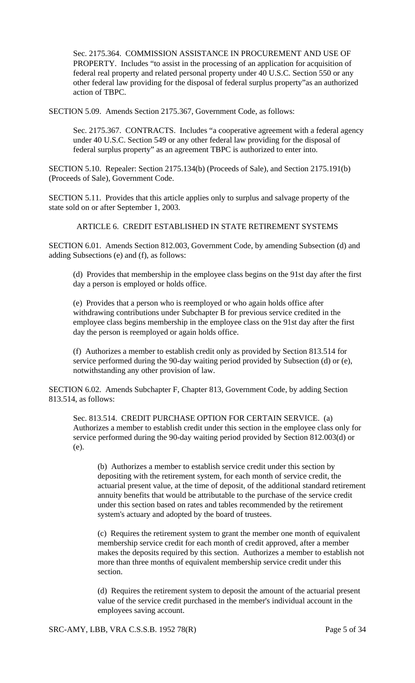Sec. 2175.364. COMMISSION ASSISTANCE IN PROCUREMENT AND USE OF PROPERTY. Includes "to assist in the processing of an application for acquisition of federal real property and related personal property under 40 U.S.C. Section 550 or any other federal law providing for the disposal of federal surplus property"as an authorized action of TBPC.

SECTION 5.09. Amends Section 2175.367, Government Code, as follows:

Sec. 2175.367. CONTRACTS. Includes "a cooperative agreement with a federal agency under 40 U.S.C. Section 549 or any other federal law providing for the disposal of federal surplus property" as an agreement TBPC is authorized to enter into.

SECTION 5.10. Repealer: Section 2175.134(b) (Proceeds of Sale), and Section 2175.191(b) (Proceeds of Sale), Government Code.

SECTION 5.11. Provides that this article applies only to surplus and salvage property of the state sold on or after September 1, 2003.

ARTICLE 6. CREDIT ESTABLISHED IN STATE RETIREMENT SYSTEMS

SECTION 6.01. Amends Section 812.003, Government Code, by amending Subsection (d) and adding Subsections (e) and (f), as follows:

(d) Provides that membership in the employee class begins on the 91st day after the first day a person is employed or holds office.

(e) Provides that a person who is reemployed or who again holds office after withdrawing contributions under Subchapter B for previous service credited in the employee class begins membership in the employee class on the 91st day after the first day the person is reemployed or again holds office.

(f) Authorizes a member to establish credit only as provided by Section 813.514 for service performed during the 90-day waiting period provided by Subsection (d) or (e), notwithstanding any other provision of law.

SECTION 6.02. Amends Subchapter F, Chapter 813, Government Code, by adding Section 813.514, as follows:

Sec. 813.514. CREDIT PURCHASE OPTION FOR CERTAIN SERVICE. (a) Authorizes a member to establish credit under this section in the employee class only for service performed during the 90-day waiting period provided by Section 812.003(d) or (e).

(b) Authorizes a member to establish service credit under this section by depositing with the retirement system, for each month of service credit, the actuarial present value, at the time of deposit, of the additional standard retirement annuity benefits that would be attributable to the purchase of the service credit under this section based on rates and tables recommended by the retirement system's actuary and adopted by the board of trustees.

(c) Requires the retirement system to grant the member one month of equivalent membership service credit for each month of credit approved, after a member makes the deposits required by this section. Authorizes a member to establish not more than three months of equivalent membership service credit under this section.

(d) Requires the retirement system to deposit the amount of the actuarial present value of the service credit purchased in the member's individual account in the employees saving account.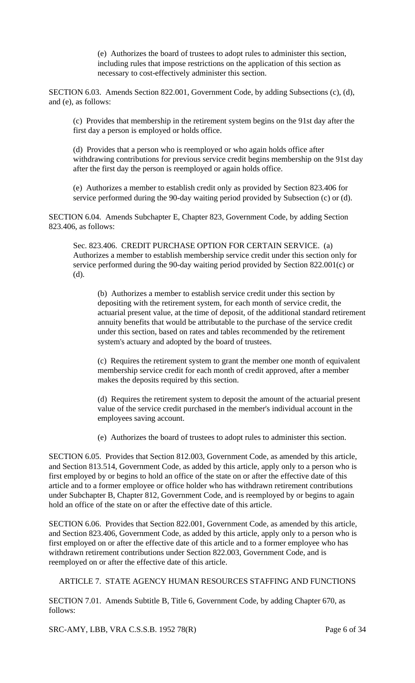(e) Authorizes the board of trustees to adopt rules to administer this section, including rules that impose restrictions on the application of this section as necessary to cost-effectively administer this section.

SECTION 6.03. Amends Section 822.001, Government Code, by adding Subsections (c), (d), and (e), as follows:

(c) Provides that membership in the retirement system begins on the 91st day after the first day a person is employed or holds office.

(d) Provides that a person who is reemployed or who again holds office after withdrawing contributions for previous service credit begins membership on the 91st day after the first day the person is reemployed or again holds office.

(e) Authorizes a member to establish credit only as provided by Section 823.406 for service performed during the 90-day waiting period provided by Subsection (c) or (d).

SECTION 6.04. Amends Subchapter E, Chapter 823, Government Code, by adding Section 823.406, as follows:

Sec. 823.406. CREDIT PURCHASE OPTION FOR CERTAIN SERVICE. (a) Authorizes a member to establish membership service credit under this section only for service performed during the 90-day waiting period provided by Section 822.001(c) or (d).

(b) Authorizes a member to establish service credit under this section by depositing with the retirement system, for each month of service credit, the actuarial present value, at the time of deposit, of the additional standard retirement annuity benefits that would be attributable to the purchase of the service credit under this section, based on rates and tables recommended by the retirement system's actuary and adopted by the board of trustees.

(c) Requires the retirement system to grant the member one month of equivalent membership service credit for each month of credit approved, after a member makes the deposits required by this section.

(d) Requires the retirement system to deposit the amount of the actuarial present value of the service credit purchased in the member's individual account in the employees saving account.

(e) Authorizes the board of trustees to adopt rules to administer this section.

SECTION 6.05. Provides that Section 812.003, Government Code, as amended by this article, and Section 813.514, Government Code, as added by this article, apply only to a person who is first employed by or begins to hold an office of the state on or after the effective date of this article and to a former employee or office holder who has withdrawn retirement contributions under Subchapter B, Chapter 812, Government Code, and is reemployed by or begins to again hold an office of the state on or after the effective date of this article.

SECTION 6.06. Provides that Section 822.001, Government Code, as amended by this article, and Section 823.406, Government Code, as added by this article, apply only to a person who is first employed on or after the effective date of this article and to a former employee who has withdrawn retirement contributions under Section 822.003, Government Code, and is reemployed on or after the effective date of this article.

# ARTICLE 7. STATE AGENCY HUMAN RESOURCES STAFFING AND FUNCTIONS

SECTION 7.01. Amends Subtitle B, Title 6, Government Code, by adding Chapter 670, as follows:

SRC-AMY, LBB, VRA C.S.S.B. 1952 78(R) Page 6 of 34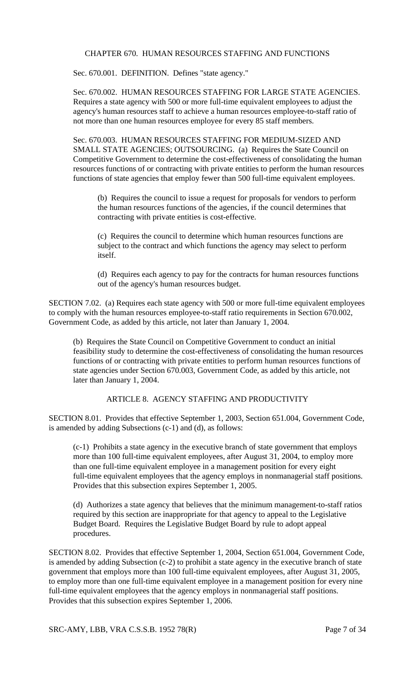#### CHAPTER 670. HUMAN RESOURCES STAFFING AND FUNCTIONS

Sec. 670.001. DEFINITION. Defines "state agency."

Sec. 670.002. HUMAN RESOURCES STAFFING FOR LARGE STATE AGENCIES. Requires a state agency with 500 or more full-time equivalent employees to adjust the agency's human resources staff to achieve a human resources employee-to-staff ratio of not more than one human resources employee for every 85 staff members.

Sec. 670.003. HUMAN RESOURCES STAFFING FOR MEDIUM-SIZED AND SMALL STATE AGENCIES; OUTSOURCING. (a) Requires the State Council on Competitive Government to determine the cost-effectiveness of consolidating the human resources functions of or contracting with private entities to perform the human resources functions of state agencies that employ fewer than 500 full-time equivalent employees.

(b) Requires the council to issue a request for proposals for vendors to perform the human resources functions of the agencies, if the council determines that contracting with private entities is cost-effective.

(c) Requires the council to determine which human resources functions are subject to the contract and which functions the agency may select to perform itself.

(d) Requires each agency to pay for the contracts for human resources functions out of the agency's human resources budget.

SECTION 7.02. (a) Requires each state agency with 500 or more full-time equivalent employees to comply with the human resources employee-to-staff ratio requirements in Section 670.002, Government Code, as added by this article, not later than January 1, 2004.

(b) Requires the State Council on Competitive Government to conduct an initial feasibility study to determine the cost-effectiveness of consolidating the human resources functions of or contracting with private entities to perform human resources functions of state agencies under Section 670.003, Government Code, as added by this article, not later than January 1, 2004.

# ARTICLE 8. AGENCY STAFFING AND PRODUCTIVITY

SECTION 8.01. Provides that effective September 1, 2003, Section 651.004, Government Code, is amended by adding Subsections (c-1) and (d), as follows:

(c-1) Prohibits a state agency in the executive branch of state government that employs more than 100 full-time equivalent employees, after August 31, 2004, to employ more than one full-time equivalent employee in a management position for every eight full-time equivalent employees that the agency employs in nonmanagerial staff positions. Provides that this subsection expires September 1, 2005.

(d) Authorizes a state agency that believes that the minimum management-to-staff ratios required by this section are inappropriate for that agency to appeal to the Legislative Budget Board. Requires the Legislative Budget Board by rule to adopt appeal procedures.

SECTION 8.02. Provides that effective September 1, 2004, Section 651.004, Government Code, is amended by adding Subsection (c-2) to prohibit a state agency in the executive branch of state government that employs more than 100 full-time equivalent employees, after August 31, 2005, to employ more than one full-time equivalent employee in a management position for every nine full-time equivalent employees that the agency employs in nonmanagerial staff positions. Provides that this subsection expires September 1, 2006.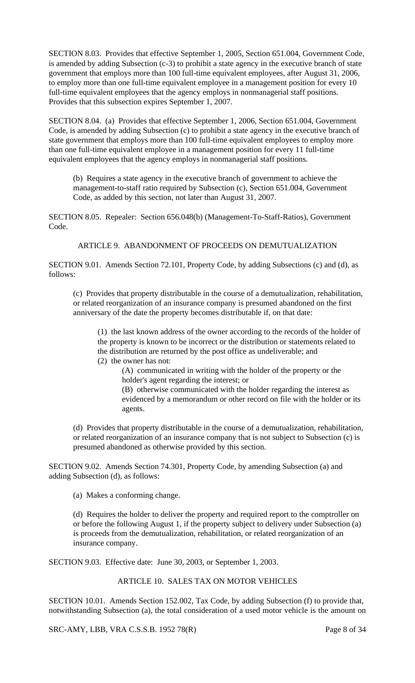SECTION 8.03. Provides that effective September 1, 2005, Section 651.004, Government Code, is amended by adding Subsection (c-3) to prohibit a state agency in the executive branch of state government that employs more than 100 full-time equivalent employees, after August 31, 2006, to employ more than one full-time equivalent employee in a management position for every 10 full-time equivalent employees that the agency employs in nonmanagerial staff positions. Provides that this subsection expires September 1, 2007.

SECTION 8.04. (a) Provides that effective September 1, 2006, Section 651.004, Government Code, is amended by adding Subsection (c) to prohibit a state agency in the executive branch of state government that employs more than 100 full-time equivalent employees to employ more than one full-time equivalent employee in a management position for every 11 full-time equivalent employees that the agency employs in nonmanagerial staff positions.

(b) Requires a state agency in the executive branch of government to achieve the management-to-staff ratio required by Subsection (c), Section 651.004, Government Code, as added by this section, not later than August 31, 2007.

SECTION 8.05. Repealer: Section 656.048(b) (Management-To-Staff-Ratios), Government Code.

ARTICLE 9. ABANDONMENT OF PROCEEDS ON DEMUTUALIZATION

SECTION 9.01. Amends Section 72.101, Property Code, by adding Subsections (c) and (d), as follows:

(c) Provides that property distributable in the course of a demutualization, rehabilitation, or related reorganization of an insurance company is presumed abandoned on the first anniversary of the date the property becomes distributable if, on that date:

(1) the last known address of the owner according to the records of the holder of the property is known to be incorrect or the distribution or statements related to the distribution are returned by the post office as undeliverable; and

(2) the owner has not:

(A) communicated in writing with the holder of the property or the holder's agent regarding the interest; or

(B) otherwise communicated with the holder regarding the interest as evidenced by a memorandum or other record on file with the holder or its agents.

(d) Provides that property distributable in the course of a demutualization, rehabilitation, or related reorganization of an insurance company that is not subject to Subsection (c) is presumed abandoned as otherwise provided by this section.

SECTION 9.02. Amends Section 74.301, Property Code, by amending Subsection (a) and adding Subsection (d), as follows:

(a) Makes a conforming change.

(d) Requires the holder to deliver the property and required report to the comptroller on or before the following August 1, if the property subject to delivery under Subsection (a) is proceeds from the demutualization, rehabilitation, or related reorganization of an insurance company.

SECTION 9.03. Effective date: June 30, 2003, or September 1, 2003.

# ARTICLE 10. SALES TAX ON MOTOR VEHICLES

SECTION 10.01. Amends Section 152.002, Tax Code, by adding Subsection (f) to provide that, notwithstanding Subsection (a), the total consideration of a used motor vehicle is the amount on

SRC-AMY, LBB, VRA C.S.S.B. 1952 78(R) Page 8 of 34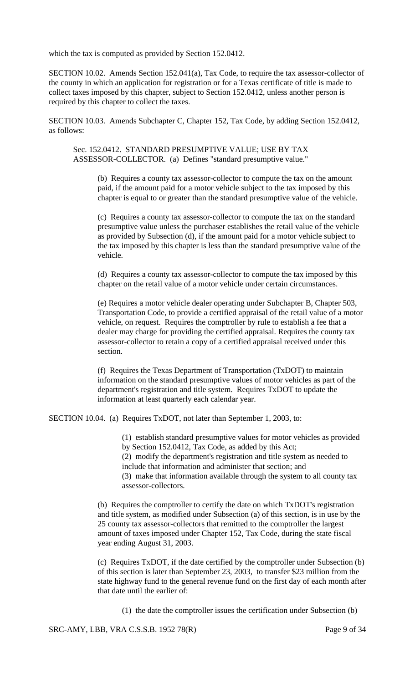which the tax is computed as provided by Section 152.0412.

SECTION 10.02. Amends Section 152.041(a), Tax Code, to require the tax assessor-collector of the county in which an application for registration or for a Texas certificate of title is made to collect taxes imposed by this chapter, subject to Section 152.0412, unless another person is required by this chapter to collect the taxes.

SECTION 10.03. Amends Subchapter C, Chapter 152, Tax Code, by adding Section 152.0412, as follows:

Sec. 152.0412. STANDARD PRESUMPTIVE VALUE; USE BY TAX ASSESSOR-COLLECTOR. (a) Defines "standard presumptive value."

> (b) Requires a county tax assessor-collector to compute the tax on the amount paid, if the amount paid for a motor vehicle subject to the tax imposed by this chapter is equal to or greater than the standard presumptive value of the vehicle.

(c) Requires a county tax assessor-collector to compute the tax on the standard presumptive value unless the purchaser establishes the retail value of the vehicle as provided by Subsection (d), if the amount paid for a motor vehicle subject to the tax imposed by this chapter is less than the standard presumptive value of the vehicle.

(d) Requires a county tax assessor-collector to compute the tax imposed by this chapter on the retail value of a motor vehicle under certain circumstances.

(e) Requires a motor vehicle dealer operating under Subchapter B, Chapter 503, Transportation Code, to provide a certified appraisal of the retail value of a motor vehicle, on request. Requires the comptroller by rule to establish a fee that a dealer may charge for providing the certified appraisal. Requires the county tax assessor-collector to retain a copy of a certified appraisal received under this section.

(f) Requires the Texas Department of Transportation (TxDOT) to maintain information on the standard presumptive values of motor vehicles as part of the department's registration and title system. Requires TxDOT to update the information at least quarterly each calendar year.

SECTION 10.04. (a) Requires TxDOT, not later than September 1, 2003, to:

(1) establish standard presumptive values for motor vehicles as provided by Section 152.0412, Tax Code, as added by this Act; (2) modify the department's registration and title system as needed to include that information and administer that section; and (3) make that information available through the system to all county tax assessor-collectors.

(b) Requires the comptroller to certify the date on which TxDOT's registration and title system, as modified under Subsection (a) of this section, is in use by the 25 county tax assessor-collectors that remitted to the comptroller the largest amount of taxes imposed under Chapter 152, Tax Code, during the state fiscal year ending August 31, 2003.

(c) Requires TxDOT, if the date certified by the comptroller under Subsection (b) of this section is later than September 23, 2003, to transfer \$23 million from the state highway fund to the general revenue fund on the first day of each month after that date until the earlier of:

(1) the date the comptroller issues the certification under Subsection (b)

SRC-AMY, LBB, VRA C.S.S.B. 1952 78(R) Page 9 of 34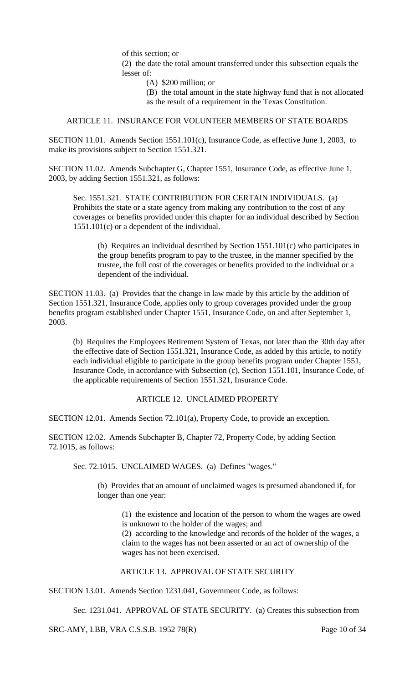of this section; or

(2) the date the total amount transferred under this subsection equals the lesser of:

(A) \$200 million; or

(B) the total amount in the state highway fund that is not allocated as the result of a requirement in the Texas Constitution.

### ARTICLE 11. INSURANCE FOR VOLUNTEER MEMBERS OF STATE BOARDS

SECTION 11.01. Amends Section 1551.101(c), Insurance Code, as effective June 1, 2003, to make its provisions subject to Section 1551.321.

SECTION 11.02. Amends Subchapter G, Chapter 1551, Insurance Code, as effective June 1, 2003, by adding Section 1551.321, as follows:

Sec. 1551.321. STATE CONTRIBUTION FOR CERTAIN INDIVIDUALS. (a) Prohibits the state or a state agency from making any contribution to the cost of any coverages or benefits provided under this chapter for an individual described by Section 1551.101(c) or a dependent of the individual.

(b) Requires an individual described by Section 1551.101(c) who participates in the group benefits program to pay to the trustee, in the manner specified by the trustee, the full cost of the coverages or benefits provided to the individual or a dependent of the individual.

SECTION 11.03. (a) Provides that the change in law made by this article by the addition of Section 1551.321, Insurance Code, applies only to group coverages provided under the group benefits program established under Chapter 1551, Insurance Code, on and after September 1, 2003.

(b) Requires the Employees Retirement System of Texas, not later than the 30th day after the effective date of Section 1551.321, Insurance Code, as added by this article, to notify each individual eligible to participate in the group benefits program under Chapter 1551, Insurance Code, in accordance with Subsection (c), Section 1551.101, Insurance Code, of the applicable requirements of Section 1551.321, Insurance Code.

### ARTICLE 12. UNCLAIMED PROPERTY

SECTION 12.01. Amends Section 72.101(a), Property Code, to provide an exception.

SECTION 12.02. Amends Subchapter B, Chapter 72, Property Code, by adding Section 72.1015, as follows:

Sec. 72.1015. UNCLAIMED WAGES. (a) Defines "wages."

(b) Provides that an amount of unclaimed wages is presumed abandoned if, for longer than one year:

(1) the existence and location of the person to whom the wages are owed is unknown to the holder of the wages; and

(2) according to the knowledge and records of the holder of the wages, a claim to the wages has not been asserted or an act of ownership of the wages has not been exercised.

### ARTICLE 13. APPROVAL OF STATE SECURITY

SECTION 13.01. Amends Section 1231.041, Government Code, as follows:

Sec. 1231.041. APPROVAL OF STATE SECURITY. (a) Creates this subsection from

SRC-AMY, LBB, VRA C.S.S.B. 1952 78(R) Page 10 of 34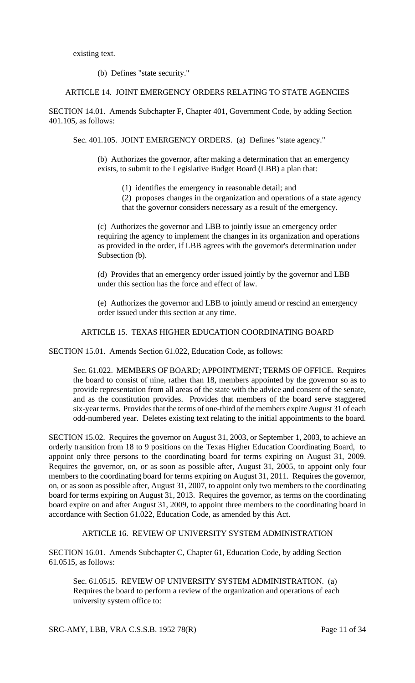existing text.

(b) Defines "state security."

# ARTICLE 14. JOINT EMERGENCY ORDERS RELATING TO STATE AGENCIES

SECTION 14.01. Amends Subchapter F, Chapter 401, Government Code, by adding Section 401.105, as follows:

Sec. 401.105. JOINT EMERGENCY ORDERS. (a) Defines "state agency."

(b) Authorizes the governor, after making a determination that an emergency exists, to submit to the Legislative Budget Board (LBB) a plan that:

(1) identifies the emergency in reasonable detail; and

(2) proposes changes in the organization and operations of a state agency that the governor considers necessary as a result of the emergency.

(c) Authorizes the governor and LBB to jointly issue an emergency order requiring the agency to implement the changes in its organization and operations as provided in the order, if LBB agrees with the governor's determination under Subsection (b).

(d) Provides that an emergency order issued jointly by the governor and LBB under this section has the force and effect of law.

(e) Authorizes the governor and LBB to jointly amend or rescind an emergency order issued under this section at any time.

#### ARTICLE 15. TEXAS HIGHER EDUCATION COORDINATING BOARD

SECTION 15.01. Amends Section 61.022, Education Code, as follows:

Sec. 61.022. MEMBERS OF BOARD; APPOINTMENT; TERMS OF OFFICE. Requires the board to consist of nine, rather than 18, members appointed by the governor so as to provide representation from all areas of the state with the advice and consent of the senate, and as the constitution provides. Provides that members of the board serve staggered six-year terms. Provides that the terms of one-third of the members expire August 31 of each odd-numbered year. Deletes existing text relating to the initial appointments to the board.

SECTION 15.02. Requires the governor on August 31, 2003, or September 1, 2003, to achieve an orderly transition from 18 to 9 positions on the Texas Higher Education Coordinating Board, to appoint only three persons to the coordinating board for terms expiring on August 31, 2009. Requires the governor, on, or as soon as possible after, August 31, 2005, to appoint only four members to the coordinating board for terms expiring on August 31, 2011. Requires the governor, on, or as soon as possible after, August 31, 2007, to appoint only two members to the coordinating board for terms expiring on August 31, 2013. Requires the governor, as terms on the coordinating board expire on and after August 31, 2009, to appoint three members to the coordinating board in accordance with Section 61.022, Education Code, as amended by this Act.

### ARTICLE 16. REVIEW OF UNIVERSITY SYSTEM ADMINISTRATION

SECTION 16.01. Amends Subchapter C, Chapter 61, Education Code, by adding Section 61.0515, as follows:

Sec. 61.0515. REVIEW OF UNIVERSITY SYSTEM ADMINISTRATION. (a) Requires the board to perform a review of the organization and operations of each university system office to:

SRC-AMY, LBB, VRA C.S.S.B. 1952 78(R) Page 11 of 34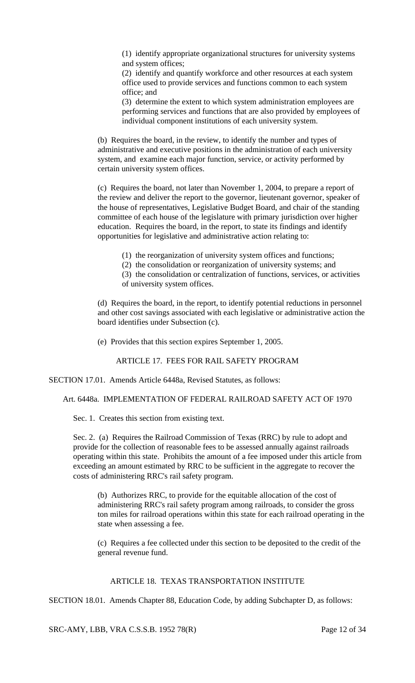(1) identify appropriate organizational structures for university systems and system offices;

(2) identify and quantify workforce and other resources at each system office used to provide services and functions common to each system office; and

(3) determine the extent to which system administration employees are performing services and functions that are also provided by employees of individual component institutions of each university system.

(b) Requires the board, in the review, to identify the number and types of administrative and executive positions in the administration of each university system, and examine each major function, service, or activity performed by certain university system offices.

(c) Requires the board, not later than November 1, 2004, to prepare a report of the review and deliver the report to the governor, lieutenant governor, speaker of the house of representatives, Legislative Budget Board, and chair of the standing committee of each house of the legislature with primary jurisdiction over higher education. Requires the board, in the report, to state its findings and identify opportunities for legislative and administrative action relating to:

(1) the reorganization of university system offices and functions;

(2) the consolidation or reorganization of university systems; and

(3) the consolidation or centralization of functions, services, or activities of university system offices.

(d) Requires the board, in the report, to identify potential reductions in personnel and other cost savings associated with each legislative or administrative action the board identifies under Subsection (c).

(e) Provides that this section expires September 1, 2005.

ARTICLE 17. FEES FOR RAIL SAFETY PROGRAM

SECTION 17.01. Amends Article 6448a, Revised Statutes, as follows:

Art. 6448a. IMPLEMENTATION OF FEDERAL RAILROAD SAFETY ACT OF 1970

Sec. 1. Creates this section from existing text.

Sec. 2. (a) Requires the Railroad Commission of Texas (RRC) by rule to adopt and provide for the collection of reasonable fees to be assessed annually against railroads operating within this state. Prohibits the amount of a fee imposed under this article from exceeding an amount estimated by RRC to be sufficient in the aggregate to recover the costs of administering RRC's rail safety program.

(b) Authorizes RRC, to provide for the equitable allocation of the cost of administering RRC's rail safety program among railroads, to consider the gross ton miles for railroad operations within this state for each railroad operating in the state when assessing a fee.

(c) Requires a fee collected under this section to be deposited to the credit of the general revenue fund.

# ARTICLE 18. TEXAS TRANSPORTATION INSTITUTE

SECTION 18.01. Amends Chapter 88, Education Code, by adding Subchapter D, as follows:

SRC-AMY, LBB, VRA C.S.S.B. 1952 78(R) Page 12 of 34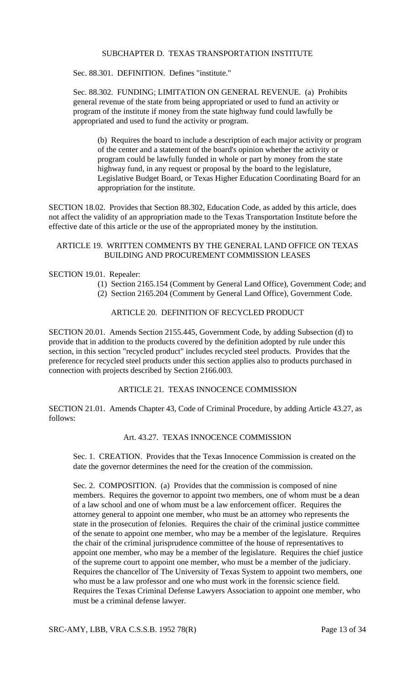#### SUBCHAPTER D. TEXAS TRANSPORTATION INSTITUTE

Sec. 88.301. DEFINITION. Defines "institute."

Sec. 88.302. FUNDING; LIMITATION ON GENERAL REVENUE. (a) Prohibits general revenue of the state from being appropriated or used to fund an activity or program of the institute if money from the state highway fund could lawfully be appropriated and used to fund the activity or program.

(b) Requires the board to include a description of each major activity or program of the center and a statement of the board's opinion whether the activity or program could be lawfully funded in whole or part by money from the state highway fund, in any request or proposal by the board to the legislature, Legislative Budget Board, or Texas Higher Education Coordinating Board for an appropriation for the institute.

SECTION 18.02. Provides that Section 88.302, Education Code, as added by this article, does not affect the validity of an appropriation made to the Texas Transportation Institute before the effective date of this article or the use of the appropriated money by the institution.

### ARTICLE 19. WRITTEN COMMENTS BY THE GENERAL LAND OFFICE ON TEXAS BUILDING AND PROCUREMENT COMMISSION LEASES

#### SECTION 19.01. Repealer:

- (1) Section 2165.154 (Comment by General Land Office), Government Code; and
- (2) Section 2165.204 (Comment by General Land Office), Government Code.

#### ARTICLE 20. DEFINITION OF RECYCLED PRODUCT

SECTION 20.01. Amends Section 2155.445, Government Code, by adding Subsection (d) to provide that in addition to the products covered by the definition adopted by rule under this section, in this section "recycled product" includes recycled steel products. Provides that the preference for recycled steel products under this section applies also to products purchased in connection with projects described by Section 2166.003.

### ARTICLE 21. TEXAS INNOCENCE COMMISSION

SECTION 21.01. Amends Chapter 43, Code of Criminal Procedure, by adding Article 43.27, as follows:

#### Art. 43.27. TEXAS INNOCENCE COMMISSION

Sec. 1. CREATION. Provides that the Texas Innocence Commission is created on the date the governor determines the need for the creation of the commission.

Sec. 2. COMPOSITION. (a) Provides that the commission is composed of nine members. Requires the governor to appoint two members, one of whom must be a dean of a law school and one of whom must be a law enforcement officer. Requires the attorney general to appoint one member, who must be an attorney who represents the state in the prosecution of felonies. Requires the chair of the criminal justice committee of the senate to appoint one member, who may be a member of the legislature. Requires the chair of the criminal jurisprudence committee of the house of representatives to appoint one member, who may be a member of the legislature. Requires the chief justice of the supreme court to appoint one member, who must be a member of the judiciary. Requires the chancellor of The University of Texas System to appoint two members, one who must be a law professor and one who must work in the forensic science field. Requires the Texas Criminal Defense Lawyers Association to appoint one member, who must be a criminal defense lawyer.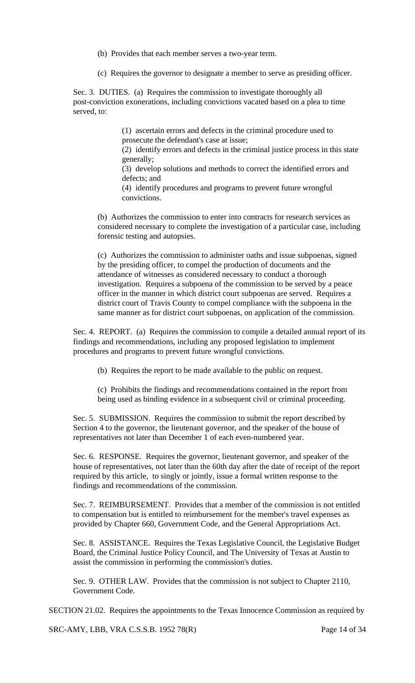(b) Provides that each member serves a two-year term.

(c) Requires the governor to designate a member to serve as presiding officer.

Sec. 3. DUTIES. (a) Requires the commission to investigate thoroughly all post-conviction exonerations, including convictions vacated based on a plea to time served, to:

> (1) ascertain errors and defects in the criminal procedure used to prosecute the defendant's case at issue;

(2) identify errors and defects in the criminal justice process in this state generally;

(3) develop solutions and methods to correct the identified errors and defects; and

(4) identify procedures and programs to prevent future wrongful convictions.

(b) Authorizes the commission to enter into contracts for research services as considered necessary to complete the investigation of a particular case, including forensic testing and autopsies.

(c) Authorizes the commission to administer oaths and issue subpoenas, signed by the presiding officer, to compel the production of documents and the attendance of witnesses as considered necessary to conduct a thorough investigation. Requires a subpoena of the commission to be served by a peace officer in the manner in which district court subpoenas are served. Requires a district court of Travis County to compel compliance with the subpoena in the same manner as for district court subpoenas, on application of the commission.

Sec. 4. REPORT. (a) Requires the commission to compile a detailed annual report of its findings and recommendations, including any proposed legislation to implement procedures and programs to prevent future wrongful convictions.

(b) Requires the report to be made available to the public on request.

(c) Prohibits the findings and recommendations contained in the report from being used as binding evidence in a subsequent civil or criminal proceeding.

Sec. 5. SUBMISSION. Requires the commission to submit the report described by Section 4 to the governor, the lieutenant governor, and the speaker of the house of representatives not later than December 1 of each even-numbered year.

Sec. 6. RESPONSE. Requires the governor, lieutenant governor, and speaker of the house of representatives, not later than the 60th day after the date of receipt of the report required by this article, to singly or jointly, issue a formal written response to the findings and recommendations of the commission.

Sec. 7. REIMBURSEMENT. Provides that a member of the commission is not entitled to compensation but is entitled to reimbursement for the member's travel expenses as provided by Chapter 660, Government Code, and the General Appropriations Act.

Sec. 8. ASSISTANCE. Requires the Texas Legislative Council, the Legislative Budget Board, the Criminal Justice Policy Council, and The University of Texas at Austin to assist the commission in performing the commission's duties.

Sec. 9. OTHER LAW. Provides that the commission is not subject to Chapter 2110, Government Code.

SECTION 21.02. Requires the appointments to the Texas Innocence Commission as required by

SRC-AMY, LBB, VRA C.S.S.B. 1952 78(R) Page 14 of 34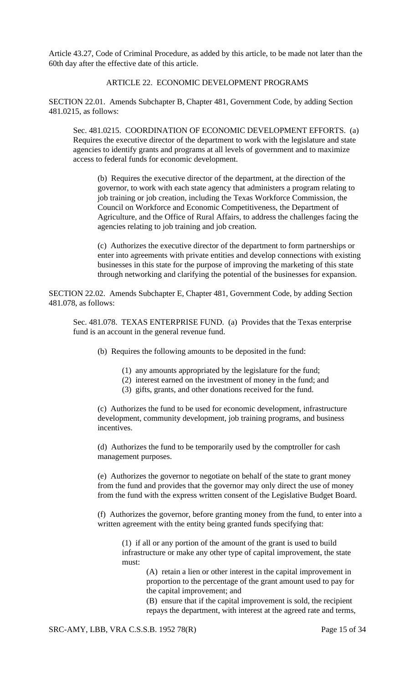Article 43.27, Code of Criminal Procedure, as added by this article, to be made not later than the 60th day after the effective date of this article.

### ARTICLE 22. ECONOMIC DEVELOPMENT PROGRAMS

SECTION 22.01. Amends Subchapter B, Chapter 481, Government Code, by adding Section 481.0215, as follows:

Sec. 481.0215. COORDINATION OF ECONOMIC DEVELOPMENT EFFORTS. (a) Requires the executive director of the department to work with the legislature and state agencies to identify grants and programs at all levels of government and to maximize access to federal funds for economic development.

(b) Requires the executive director of the department, at the direction of the governor, to work with each state agency that administers a program relating to job training or job creation, including the Texas Workforce Commission, the Council on Workforce and Economic Competitiveness, the Department of Agriculture, and the Office of Rural Affairs, to address the challenges facing the agencies relating to job training and job creation.

(c) Authorizes the executive director of the department to form partnerships or enter into agreements with private entities and develop connections with existing businesses in this state for the purpose of improving the marketing of this state through networking and clarifying the potential of the businesses for expansion.

SECTION 22.02. Amends Subchapter E, Chapter 481, Government Code, by adding Section 481.078, as follows:

Sec. 481.078. TEXAS ENTERPRISE FUND. (a) Provides that the Texas enterprise fund is an account in the general revenue fund.

(b) Requires the following amounts to be deposited in the fund:

- (1) any amounts appropriated by the legislature for the fund;
- (2) interest earned on the investment of money in the fund; and
- (3) gifts, grants, and other donations received for the fund.

(c) Authorizes the fund to be used for economic development, infrastructure development, community development, job training programs, and business incentives.

(d) Authorizes the fund to be temporarily used by the comptroller for cash management purposes.

(e) Authorizes the governor to negotiate on behalf of the state to grant money from the fund and provides that the governor may only direct the use of money from the fund with the express written consent of the Legislative Budget Board.

(f) Authorizes the governor, before granting money from the fund, to enter into a written agreement with the entity being granted funds specifying that:

(1) if all or any portion of the amount of the grant is used to build infrastructure or make any other type of capital improvement, the state must:

(A) retain a lien or other interest in the capital improvement in proportion to the percentage of the grant amount used to pay for the capital improvement; and

(B) ensure that if the capital improvement is sold, the recipient repays the department, with interest at the agreed rate and terms,

SRC-AMY, LBB, VRA C.S.S.B. 1952 78(R) Page 15 of 34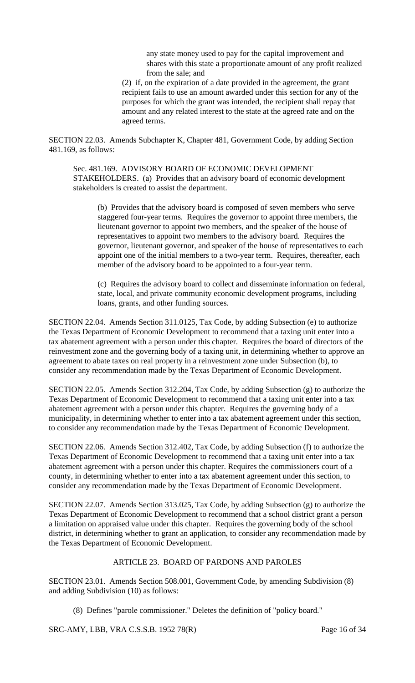any state money used to pay for the capital improvement and shares with this state a proportionate amount of any profit realized from the sale; and

(2) if, on the expiration of a date provided in the agreement, the grant recipient fails to use an amount awarded under this section for any of the purposes for which the grant was intended, the recipient shall repay that amount and any related interest to the state at the agreed rate and on the agreed terms.

SECTION 22.03. Amends Subchapter K, Chapter 481, Government Code, by adding Section 481.169, as follows:

Sec. 481.169. ADVISORY BOARD OF ECONOMIC DEVELOPMENT STAKEHOLDERS. (a) Provides that an advisory board of economic development stakeholders is created to assist the department.

(b) Provides that the advisory board is composed of seven members who serve staggered four-year terms. Requires the governor to appoint three members, the lieutenant governor to appoint two members, and the speaker of the house of representatives to appoint two members to the advisory board. Requires the governor, lieutenant governor, and speaker of the house of representatives to each appoint one of the initial members to a two-year term. Requires, thereafter, each member of the advisory board to be appointed to a four-year term.

(c) Requires the advisory board to collect and disseminate information on federal, state, local, and private community economic development programs, including loans, grants, and other funding sources.

SECTION 22.04. Amends Section 311.0125, Tax Code, by adding Subsection (e) to authorize the Texas Department of Economic Development to recommend that a taxing unit enter into a tax abatement agreement with a person under this chapter. Requires the board of directors of the reinvestment zone and the governing body of a taxing unit, in determining whether to approve an agreement to abate taxes on real property in a reinvestment zone under Subsection (b), to consider any recommendation made by the Texas Department of Economic Development.

SECTION 22.05. Amends Section 312.204, Tax Code, by adding Subsection (g) to authorize the Texas Department of Economic Development to recommend that a taxing unit enter into a tax abatement agreement with a person under this chapter. Requires the governing body of a municipality, in determining whether to enter into a tax abatement agreement under this section, to consider any recommendation made by the Texas Department of Economic Development.

SECTION 22.06. Amends Section 312.402, Tax Code, by adding Subsection (f) to authorize the Texas Department of Economic Development to recommend that a taxing unit enter into a tax abatement agreement with a person under this chapter. Requires the commissioners court of a county, in determining whether to enter into a tax abatement agreement under this section, to consider any recommendation made by the Texas Department of Economic Development.

SECTION 22.07. Amends Section 313.025, Tax Code, by adding Subsection (g) to authorize the Texas Department of Economic Development to recommend that a school district grant a person a limitation on appraised value under this chapter. Requires the governing body of the school district, in determining whether to grant an application, to consider any recommendation made by the Texas Department of Economic Development.

### ARTICLE 23. BOARD OF PARDONS AND PAROLES

SECTION 23.01. Amends Section 508.001, Government Code, by amending Subdivision (8) and adding Subdivision (10) as follows:

(8) Defines "parole commissioner." Deletes the definition of "policy board."

SRC-AMY, LBB, VRA C.S.S.B. 1952 78(R) Page 16 of 34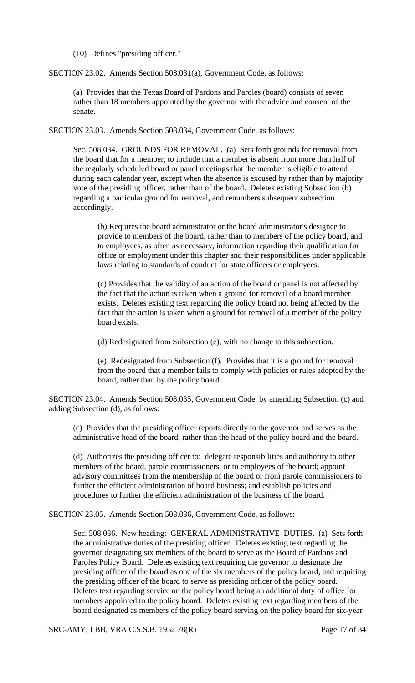(10) Defines "presiding officer."

SECTION 23.02. Amends Section 508.031(a), Government Code, as follows:

(a) Provides that the Texas Board of Pardons and Paroles (board) consists of seven rather than 18 members appointed by the governor with the advice and consent of the senate.

SECTION 23.03. Amends Section 508.034, Government Code, as follows:

Sec. 508.034. GROUNDS FOR REMOVAL. (a) Sets forth grounds for removal from the board that for a member, to include that a member is absent from more than half of the regularly scheduled board or panel meetings that the member is eligible to attend during each calendar year, except when the absence is excused by rather than by majority vote of the presiding officer, rather than of the board. Deletes existing Subsection (b) regarding a particular ground for removal, and renumbers subsequent subsection accordingly.

(b) Requires the board administrator or the board administrator's designee to provide to members of the board, rather than to members of the policy board, and to employees, as often as necessary, information regarding their qualification for office or employment under this chapter and their responsibilities under applicable laws relating to standards of conduct for state officers or employees.

(c) Provides that the validity of an action of the board or panel is not affected by the fact that the action is taken when a ground for removal of a board member exists. Deletes existing text regarding the policy board not being affected by the fact that the action is taken when a ground for removal of a member of the policy board exists.

(d) Redesignated from Subsection (e), with no change to this subsection.

(e) Redesignated from Subsection (f). Provides that it is a ground for removal from the board that a member fails to comply with policies or rules adopted by the board, rather than by the policy board.

SECTION 23.04. Amends Section 508.035, Government Code, by amending Subsection (c) and adding Subsection (d), as follows:

(c) Provides that the presiding officer reports directly to the governor and serves as the administrative head of the board, rather than the head of the policy board and the board.

(d) Authorizes the presiding officer to: delegate responsibilities and authority to other members of the board, parole commissioners, or to employees of the board; appoint advisory committees from the membership of the board or from parole commissioners to further the efficient administration of board business; and establish policies and procedures to further the efficient administration of the business of the board.

SECTION 23.05. Amends Section 508.036, Government Code, as follows:

Sec. 508.036. New heading: GENERAL ADMINISTRATIVE DUTIES. (a) Sets forth the administrative duties of the presiding officer. Deletes existing text regarding the governor designating six members of the board to serve as the Board of Pardons and Paroles Policy Board. Deletes existing text requiring the governor to designate the presiding officer of the board as one of the six members of the policy board, and requiring the presiding officer of the board to serve as presiding officer of the policy board. Deletes text regarding service on the policy board being an additional duty of office for members appointed to the policy board. Deletes existing text regarding members of the board designated as members of the policy board serving on the policy board for six-year

SRC-AMY, LBB, VRA C.S.S.B. 1952 78(R) Page 17 of 34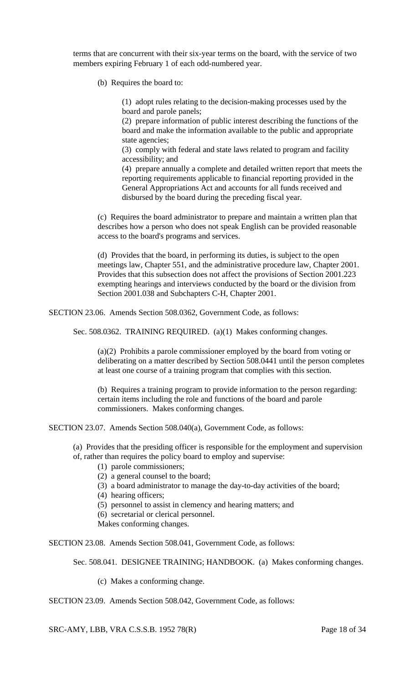terms that are concurrent with their six-year terms on the board, with the service of two members expiring February 1 of each odd-numbered year.

(b) Requires the board to:

(1) adopt rules relating to the decision-making processes used by the board and parole panels;

(2) prepare information of public interest describing the functions of the board and make the information available to the public and appropriate state agencies;

(3) comply with federal and state laws related to program and facility accessibility; and

(4) prepare annually a complete and detailed written report that meets the reporting requirements applicable to financial reporting provided in the General Appropriations Act and accounts for all funds received and disbursed by the board during the preceding fiscal year.

(c) Requires the board administrator to prepare and maintain a written plan that describes how a person who does not speak English can be provided reasonable access to the board's programs and services.

(d) Provides that the board, in performing its duties, is subject to the open meetings law, Chapter 551, and the administrative procedure law, Chapter 2001. Provides that this subsection does not affect the provisions of Section 2001.223 exempting hearings and interviews conducted by the board or the division from Section 2001.038 and Subchapters C-H, Chapter 2001.

SECTION 23.06. Amends Section 508.0362, Government Code, as follows:

Sec. 508.0362. TRAINING REQUIRED. (a)(1) Makes conforming changes.

(a)(2) Prohibits a parole commissioner employed by the board from voting or deliberating on a matter described by Section 508.0441 until the person completes at least one course of a training program that complies with this section.

(b) Requires a training program to provide information to the person regarding: certain items including the role and functions of the board and parole commissioners. Makes conforming changes.

SECTION 23.07. Amends Section 508.040(a), Government Code, as follows:

(a) Provides that the presiding officer is responsible for the employment and supervision of, rather than requires the policy board to employ and supervise:

- (1) parole commissioners;
- (2) a general counsel to the board;
- (3) a board administrator to manage the day-to-day activities of the board;
- (4) hearing officers;
- (5) personnel to assist in clemency and hearing matters; and
- (6) secretarial or clerical personnel.
- Makes conforming changes.

SECTION 23.08. Amends Section 508.041, Government Code, as follows:

Sec. 508.041. DESIGNEE TRAINING; HANDBOOK. (a) Makes conforming changes.

(c) Makes a conforming change.

SECTION 23.09. Amends Section 508.042, Government Code, as follows:

SRC-AMY, LBB, VRA C.S.S.B. 1952 78(R) Page 18 of 34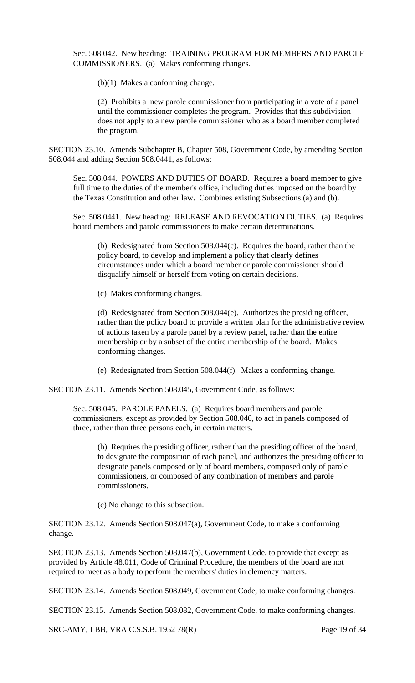Sec. 508.042. New heading: TRAINING PROGRAM FOR MEMBERS AND PAROLE COMMISSIONERS. (a) Makes conforming changes.

(b)(1) Makes a conforming change.

(2) Prohibits a new parole commissioner from participating in a vote of a panel until the commissioner completes the program. Provides that this subdivision does not apply to a new parole commissioner who as a board member completed the program.

SECTION 23.10. Amends Subchapter B, Chapter 508, Government Code, by amending Section 508.044 and adding Section 508.0441, as follows:

Sec. 508.044. POWERS AND DUTIES OF BOARD. Requires a board member to give full time to the duties of the member's office, including duties imposed on the board by the Texas Constitution and other law. Combines existing Subsections (a) and (b).

Sec. 508.0441. New heading: RELEASE AND REVOCATION DUTIES. (a) Requires board members and parole commissioners to make certain determinations.

(b) Redesignated from Section 508.044(c). Requires the board, rather than the policy board, to develop and implement a policy that clearly defines circumstances under which a board member or parole commissioner should disqualify himself or herself from voting on certain decisions.

(c) Makes conforming changes.

(d) Redesignated from Section 508.044(e). Authorizes the presiding officer, rather than the policy board to provide a written plan for the administrative review of actions taken by a parole panel by a review panel, rather than the entire membership or by a subset of the entire membership of the board. Makes conforming changes.

(e) Redesignated from Section 508.044(f). Makes a conforming change.

SECTION 23.11. Amends Section 508.045, Government Code, as follows:

Sec. 508.045. PAROLE PANELS. (a) Requires board members and parole commissioners, except as provided by Section 508.046, to act in panels composed of three, rather than three persons each, in certain matters.

(b) Requires the presiding officer, rather than the presiding officer of the board, to designate the composition of each panel, and authorizes the presiding officer to designate panels composed only of board members, composed only of parole commissioners, or composed of any combination of members and parole commissioners.

(c) No change to this subsection.

SECTION 23.12. Amends Section 508.047(a), Government Code, to make a conforming change.

SECTION 23.13. Amends Section 508.047(b), Government Code, to provide that except as provided by Article 48.011, Code of Criminal Procedure, the members of the board are not required to meet as a body to perform the members' duties in clemency matters.

SECTION 23.14. Amends Section 508.049, Government Code, to make conforming changes.

SECTION 23.15. Amends Section 508.082, Government Code, to make conforming changes.

SRC-AMY, LBB, VRA C.S.S.B. 1952 78(R) Page 19 of 34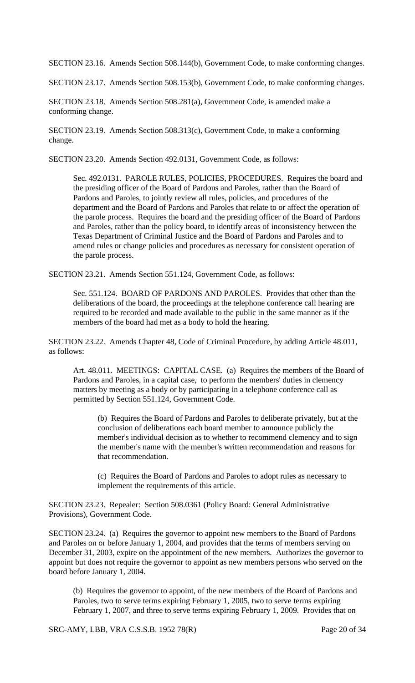SECTION 23.16. Amends Section 508.144(b), Government Code, to make conforming changes.

SECTION 23.17. Amends Section 508.153(b), Government Code, to make conforming changes.

SECTION 23.18. Amends Section 508.281(a), Government Code, is amended make a conforming change.

SECTION 23.19. Amends Section 508.313(c), Government Code, to make a conforming change.

SECTION 23.20. Amends Section 492.0131, Government Code, as follows:

Sec. 492.0131. PAROLE RULES, POLICIES, PROCEDURES. Requires the board and the presiding officer of the Board of Pardons and Paroles, rather than the Board of Pardons and Paroles, to jointly review all rules, policies, and procedures of the department and the Board of Pardons and Paroles that relate to or affect the operation of the parole process. Requires the board and the presiding officer of the Board of Pardons and Paroles, rather than the policy board, to identify areas of inconsistency between the Texas Department of Criminal Justice and the Board of Pardons and Paroles and to amend rules or change policies and procedures as necessary for consistent operation of the parole process.

SECTION 23.21. Amends Section 551.124, Government Code, as follows:

Sec. 551.124. BOARD OF PARDONS AND PAROLES. Provides that other than the deliberations of the board, the proceedings at the telephone conference call hearing are required to be recorded and made available to the public in the same manner as if the members of the board had met as a body to hold the hearing.

SECTION 23.22. Amends Chapter 48, Code of Criminal Procedure, by adding Article 48.011, as follows:

Art. 48.011. MEETINGS: CAPITAL CASE. (a) Requires the members of the Board of Pardons and Paroles, in a capital case, to perform the members' duties in clemency matters by meeting as a body or by participating in a telephone conference call as permitted by Section 551.124, Government Code.

(b) Requires the Board of Pardons and Paroles to deliberate privately, but at the conclusion of deliberations each board member to announce publicly the member's individual decision as to whether to recommend clemency and to sign the member's name with the member's written recommendation and reasons for that recommendation.

(c) Requires the Board of Pardons and Paroles to adopt rules as necessary to implement the requirements of this article.

SECTION 23.23. Repealer: Section 508.0361 (Policy Board: General Administrative Provisions), Government Code.

SECTION 23.24. (a) Requires the governor to appoint new members to the Board of Pardons and Paroles on or before January 1, 2004, and provides that the terms of members serving on December 31, 2003, expire on the appointment of the new members. Authorizes the governor to appoint but does not require the governor to appoint as new members persons who served on the board before January 1, 2004.

(b) Requires the governor to appoint, of the new members of the Board of Pardons and Paroles, two to serve terms expiring February 1, 2005, two to serve terms expiring February 1, 2007, and three to serve terms expiring February 1, 2009. Provides that on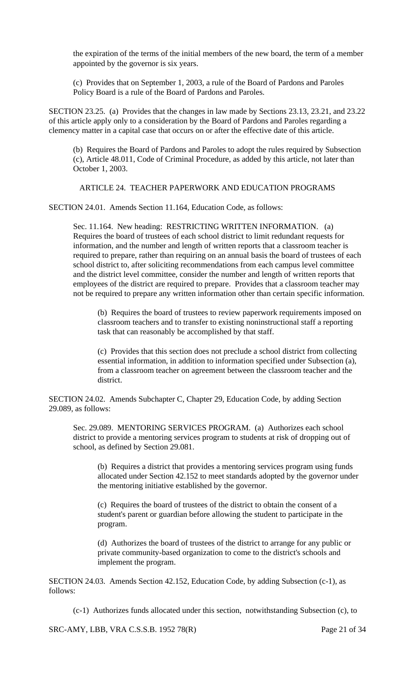the expiration of the terms of the initial members of the new board, the term of a member appointed by the governor is six years.

(c) Provides that on September 1, 2003, a rule of the Board of Pardons and Paroles Policy Board is a rule of the Board of Pardons and Paroles.

SECTION 23.25. (a) Provides that the changes in law made by Sections 23.13, 23.21, and 23.22 of this article apply only to a consideration by the Board of Pardons and Paroles regarding a clemency matter in a capital case that occurs on or after the effective date of this article.

(b) Requires the Board of Pardons and Paroles to adopt the rules required by Subsection (c), Article 48.011, Code of Criminal Procedure, as added by this article, not later than October 1, 2003.

ARTICLE 24. TEACHER PAPERWORK AND EDUCATION PROGRAMS

SECTION 24.01. Amends Section 11.164, Education Code, as follows:

Sec. 11.164. New heading: RESTRICTING WRITTEN INFORMATION. (a) Requires the board of trustees of each school district to limit redundant requests for information, and the number and length of written reports that a classroom teacher is required to prepare, rather than requiring on an annual basis the board of trustees of each school district to, after soliciting recommendations from each campus level committee and the district level committee, consider the number and length of written reports that employees of the district are required to prepare. Provides that a classroom teacher may not be required to prepare any written information other than certain specific information.

(b) Requires the board of trustees to review paperwork requirements imposed on classroom teachers and to transfer to existing noninstructional staff a reporting task that can reasonably be accomplished by that staff.

(c) Provides that this section does not preclude a school district from collecting essential information, in addition to information specified under Subsection (a), from a classroom teacher on agreement between the classroom teacher and the district.

SECTION 24.02. Amends Subchapter C, Chapter 29, Education Code, by adding Section 29.089, as follows:

Sec. 29.089. MENTORING SERVICES PROGRAM. (a) Authorizes each school district to provide a mentoring services program to students at risk of dropping out of school, as defined by Section 29.081.

(b) Requires a district that provides a mentoring services program using funds allocated under Section 42.152 to meet standards adopted by the governor under the mentoring initiative established by the governor.

(c) Requires the board of trustees of the district to obtain the consent of a student's parent or guardian before allowing the student to participate in the program.

(d) Authorizes the board of trustees of the district to arrange for any public or private community-based organization to come to the district's schools and implement the program.

SECTION 24.03. Amends Section 42.152, Education Code, by adding Subsection (c-1), as follows:

(c-1) Authorizes funds allocated under this section, notwithstanding Subsection (c), to

SRC-AMY, LBB, VRA C.S.S.B. 1952 78(R) Page 21 of 34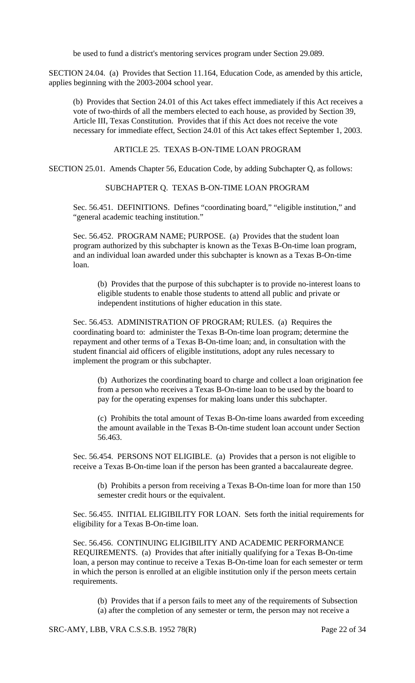be used to fund a district's mentoring services program under Section 29.089.

SECTION 24.04. (a) Provides that Section 11.164, Education Code, as amended by this article, applies beginning with the 2003-2004 school year.

(b) Provides that Section 24.01 of this Act takes effect immediately if this Act receives a vote of two-thirds of all the members elected to each house, as provided by Section 39, Article III, Texas Constitution. Provides that if this Act does not receive the vote necessary for immediate effect, Section 24.01 of this Act takes effect September 1, 2003.

#### ARTICLE 25. TEXAS B-ON-TIME LOAN PROGRAM

SECTION 25.01. Amends Chapter 56, Education Code, by adding Subchapter Q, as follows:

SUBCHAPTER Q. TEXAS B-ON-TIME LOAN PROGRAM

Sec. 56.451. DEFINITIONS. Defines "coordinating board," "eligible institution," and "general academic teaching institution."

Sec. 56.452. PROGRAM NAME; PURPOSE. (a) Provides that the student loan program authorized by this subchapter is known as the Texas B-On-time loan program, and an individual loan awarded under this subchapter is known as a Texas B-On-time loan.

(b) Provides that the purpose of this subchapter is to provide no-interest loans to eligible students to enable those students to attend all public and private or independent institutions of higher education in this state.

Sec. 56.453. ADMINISTRATION OF PROGRAM; RULES. (a) Requires the coordinating board to: administer the Texas B-On-time loan program; determine the repayment and other terms of a Texas B-On-time loan; and, in consultation with the student financial aid officers of eligible institutions, adopt any rules necessary to implement the program or this subchapter.

(b) Authorizes the coordinating board to charge and collect a loan origination fee from a person who receives a Texas B-On-time loan to be used by the board to pay for the operating expenses for making loans under this subchapter.

(c) Prohibits the total amount of Texas B-On-time loans awarded from exceeding the amount available in the Texas B-On-time student loan account under Section 56.463.

Sec. 56.454. PERSONS NOT ELIGIBLE. (a) Provides that a person is not eligible to receive a Texas B-On-time loan if the person has been granted a baccalaureate degree.

(b) Prohibits a person from receiving a Texas B-On-time loan for more than 150 semester credit hours or the equivalent.

Sec. 56.455. INITIAL ELIGIBILITY FOR LOAN. Sets forth the initial requirements for eligibility for a Texas B-On-time loan.

Sec. 56.456. CONTINUING ELIGIBILITY AND ACADEMIC PERFORMANCE REQUIREMENTS. (a) Provides that after initially qualifying for a Texas B-On-time loan, a person may continue to receive a Texas B-On-time loan for each semester or term in which the person is enrolled at an eligible institution only if the person meets certain requirements.

(b) Provides that if a person fails to meet any of the requirements of Subsection (a) after the completion of any semester or term, the person may not receive a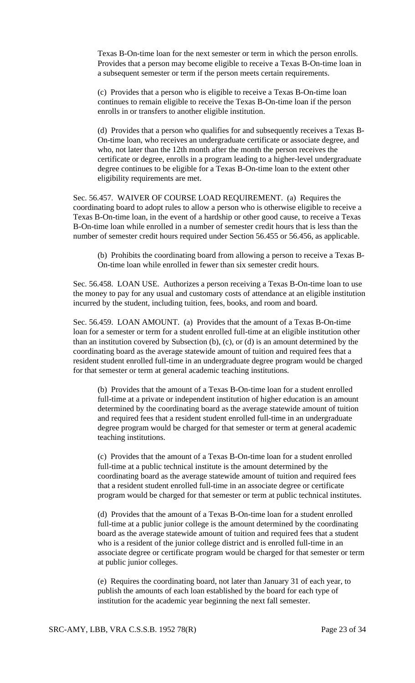Texas B-On-time loan for the next semester or term in which the person enrolls. Provides that a person may become eligible to receive a Texas B-On-time loan in a subsequent semester or term if the person meets certain requirements.

(c) Provides that a person who is eligible to receive a Texas B-On-time loan continues to remain eligible to receive the Texas B-On-time loan if the person enrolls in or transfers to another eligible institution.

(d) Provides that a person who qualifies for and subsequently receives a Texas B-On-time loan, who receives an undergraduate certificate or associate degree, and who, not later than the 12th month after the month the person receives the certificate or degree, enrolls in a program leading to a higher-level undergraduate degree continues to be eligible for a Texas B-On-time loan to the extent other eligibility requirements are met.

Sec. 56.457. WAIVER OF COURSE LOAD REQUIREMENT. (a) Requires the coordinating board to adopt rules to allow a person who is otherwise eligible to receive a Texas B-On-time loan, in the event of a hardship or other good cause, to receive a Texas B-On-time loan while enrolled in a number of semester credit hours that is less than the number of semester credit hours required under Section 56.455 or 56.456, as applicable.

(b) Prohibits the coordinating board from allowing a person to receive a Texas B-On-time loan while enrolled in fewer than six semester credit hours.

Sec. 56.458. LOAN USE. Authorizes a person receiving a Texas B-On-time loan to use the money to pay for any usual and customary costs of attendance at an eligible institution incurred by the student, including tuition, fees, books, and room and board.

Sec. 56.459. LOAN AMOUNT. (a) Provides that the amount of a Texas B-On-time loan for a semester or term for a student enrolled full-time at an eligible institution other than an institution covered by Subsection (b), (c), or (d) is an amount determined by the coordinating board as the average statewide amount of tuition and required fees that a resident student enrolled full-time in an undergraduate degree program would be charged for that semester or term at general academic teaching institutions.

(b) Provides that the amount of a Texas B-On-time loan for a student enrolled full-time at a private or independent institution of higher education is an amount determined by the coordinating board as the average statewide amount of tuition and required fees that a resident student enrolled full-time in an undergraduate degree program would be charged for that semester or term at general academic teaching institutions.

(c) Provides that the amount of a Texas B-On-time loan for a student enrolled full-time at a public technical institute is the amount determined by the coordinating board as the average statewide amount of tuition and required fees that a resident student enrolled full-time in an associate degree or certificate program would be charged for that semester or term at public technical institutes.

(d) Provides that the amount of a Texas B-On-time loan for a student enrolled full-time at a public junior college is the amount determined by the coordinating board as the average statewide amount of tuition and required fees that a student who is a resident of the junior college district and is enrolled full-time in an associate degree or certificate program would be charged for that semester or term at public junior colleges.

(e) Requires the coordinating board, not later than January 31 of each year, to publish the amounts of each loan established by the board for each type of institution for the academic year beginning the next fall semester.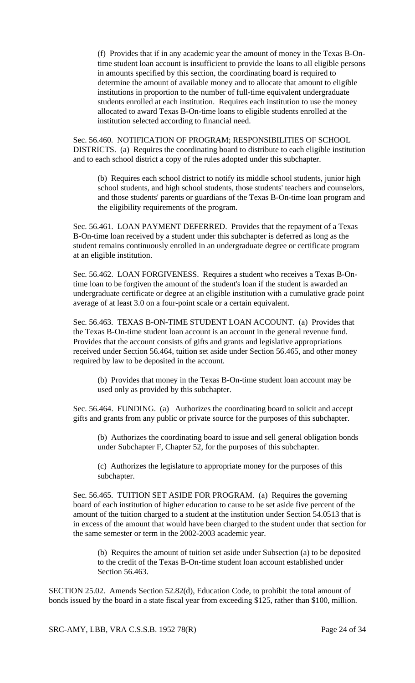(f) Provides that if in any academic year the amount of money in the Texas B-Ontime student loan account is insufficient to provide the loans to all eligible persons in amounts specified by this section, the coordinating board is required to determine the amount of available money and to allocate that amount to eligible institutions in proportion to the number of full-time equivalent undergraduate students enrolled at each institution. Requires each institution to use the money allocated to award Texas B-On-time loans to eligible students enrolled at the institution selected according to financial need.

Sec. 56.460. NOTIFICATION OF PROGRAM; RESPONSIBILITIES OF SCHOOL DISTRICTS. (a) Requires the coordinating board to distribute to each eligible institution and to each school district a copy of the rules adopted under this subchapter.

(b) Requires each school district to notify its middle school students, junior high school students, and high school students, those students' teachers and counselors, and those students' parents or guardians of the Texas B-On-time loan program and the eligibility requirements of the program.

Sec. 56.461. LOAN PAYMENT DEFERRED. Provides that the repayment of a Texas B-On-time loan received by a student under this subchapter is deferred as long as the student remains continuously enrolled in an undergraduate degree or certificate program at an eligible institution.

Sec. 56.462. LOAN FORGIVENESS. Requires a student who receives a Texas B-Ontime loan to be forgiven the amount of the student's loan if the student is awarded an undergraduate certificate or degree at an eligible institution with a cumulative grade point average of at least 3.0 on a four-point scale or a certain equivalent.

Sec. 56.463. TEXAS B-ON-TIME STUDENT LOAN ACCOUNT. (a) Provides that the Texas B-On-time student loan account is an account in the general revenue fund. Provides that the account consists of gifts and grants and legislative appropriations received under Section 56.464, tuition set aside under Section 56.465, and other money required by law to be deposited in the account.

(b) Provides that money in the Texas B-On-time student loan account may be used only as provided by this subchapter.

Sec. 56.464. FUNDING. (a) Authorizes the coordinating board to solicit and accept gifts and grants from any public or private source for the purposes of this subchapter.

(b) Authorizes the coordinating board to issue and sell general obligation bonds under Subchapter F, Chapter 52, for the purposes of this subchapter.

(c) Authorizes the legislature to appropriate money for the purposes of this subchapter.

Sec. 56.465. TUITION SET ASIDE FOR PROGRAM. (a) Requires the governing board of each institution of higher education to cause to be set aside five percent of the amount of the tuition charged to a student at the institution under Section 54.0513 that is in excess of the amount that would have been charged to the student under that section for the same semester or term in the 2002-2003 academic year.

(b) Requires the amount of tuition set aside under Subsection (a) to be deposited to the credit of the Texas B-On-time student loan account established under Section 56.463.

SECTION 25.02. Amends Section 52.82(d), Education Code, to prohibit the total amount of bonds issued by the board in a state fiscal year from exceeding \$125, rather than \$100, million.

SRC-AMY, LBB, VRA C.S.S.B. 1952 78(R) Page 24 of 34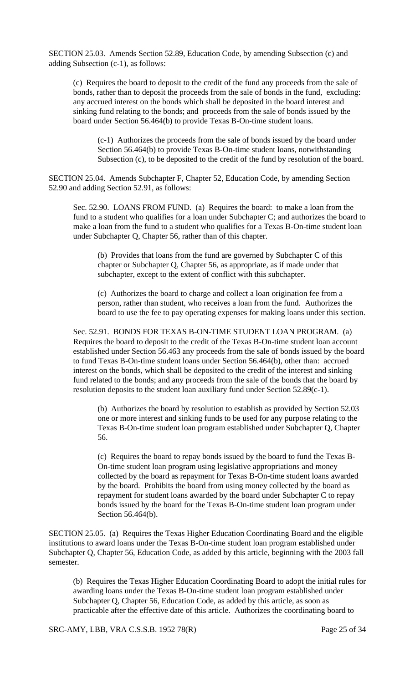SECTION 25.03. Amends Section 52.89, Education Code, by amending Subsection (c) and adding Subsection (c-1), as follows:

(c) Requires the board to deposit to the credit of the fund any proceeds from the sale of bonds, rather than to deposit the proceeds from the sale of bonds in the fund, excluding: any accrued interest on the bonds which shall be deposited in the board interest and sinking fund relating to the bonds; and proceeds from the sale of bonds issued by the board under Section 56.464(b) to provide Texas B-On-time student loans.

(c-1) Authorizes the proceeds from the sale of bonds issued by the board under Section 56.464(b) to provide Texas B-On-time student loans, notwithstanding Subsection (c), to be deposited to the credit of the fund by resolution of the board.

SECTION 25.04. Amends Subchapter F, Chapter 52, Education Code, by amending Section 52.90 and adding Section 52.91, as follows:

Sec. 52.90. LOANS FROM FUND. (a) Requires the board: to make a loan from the fund to a student who qualifies for a loan under Subchapter C; and authorizes the board to make a loan from the fund to a student who qualifies for a Texas B-On-time student loan under Subchapter Q, Chapter 56, rather than of this chapter.

(b) Provides that loans from the fund are governed by Subchapter C of this chapter or Subchapter Q, Chapter 56, as appropriate, as if made under that subchapter, except to the extent of conflict with this subchapter.

(c) Authorizes the board to charge and collect a loan origination fee from a person, rather than student, who receives a loan from the fund. Authorizes the board to use the fee to pay operating expenses for making loans under this section.

Sec. 52.91. BONDS FOR TEXAS B-ON-TIME STUDENT LOAN PROGRAM. (a) Requires the board to deposit to the credit of the Texas B-On-time student loan account established under Section 56.463 any proceeds from the sale of bonds issued by the board to fund Texas B-On-time student loans under Section 56.464(b), other than: accrued interest on the bonds, which shall be deposited to the credit of the interest and sinking fund related to the bonds; and any proceeds from the sale of the bonds that the board by resolution deposits to the student loan auxiliary fund under Section 52.89(c-1).

(b) Authorizes the board by resolution to establish as provided by Section 52.03 one or more interest and sinking funds to be used for any purpose relating to the Texas B-On-time student loan program established under Subchapter Q, Chapter 56.

(c) Requires the board to repay bonds issued by the board to fund the Texas B-On-time student loan program using legislative appropriations and money collected by the board as repayment for Texas B-On-time student loans awarded by the board. Prohibits the board from using money collected by the board as repayment for student loans awarded by the board under Subchapter C to repay bonds issued by the board for the Texas B-On-time student loan program under Section 56.464(b).

SECTION 25.05. (a) Requires the Texas Higher Education Coordinating Board and the eligible institutions to award loans under the Texas B-On-time student loan program established under Subchapter Q, Chapter 56, Education Code, as added by this article, beginning with the 2003 fall semester.

(b) Requires the Texas Higher Education Coordinating Board to adopt the initial rules for awarding loans under the Texas B-On-time student loan program established under Subchapter Q, Chapter 56, Education Code, as added by this article, as soon as practicable after the effective date of this article. Authorizes the coordinating board to

SRC-AMY, LBB, VRA C.S.S.B. 1952 78(R) Page 25 of 34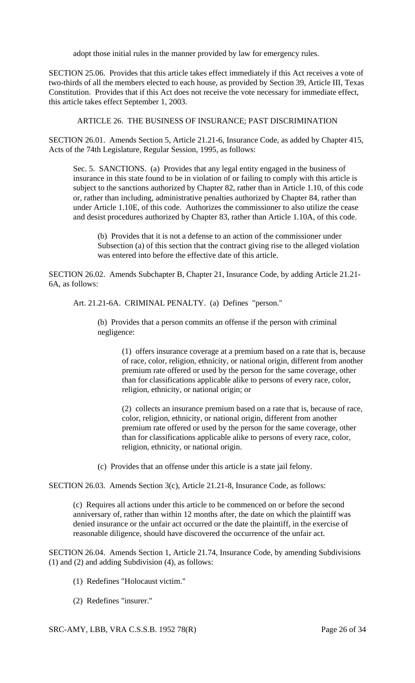adopt those initial rules in the manner provided by law for emergency rules.

SECTION 25.06. Provides that this article takes effect immediately if this Act receives a vote of two-thirds of all the members elected to each house, as provided by Section 39, Article III, Texas Constitution. Provides that if this Act does not receive the vote necessary for immediate effect, this article takes effect September 1, 2003.

#### ARTICLE 26. THE BUSINESS OF INSURANCE; PAST DISCRIMINATION

SECTION 26.01. Amends Section 5, Article 21.21-6, Insurance Code, as added by Chapter 415, Acts of the 74th Legislature, Regular Session, 1995, as follows:

Sec. 5. SANCTIONS. (a) Provides that any legal entity engaged in the business of insurance in this state found to be in violation of or failing to comply with this article is subject to the sanctions authorized by Chapter 82, rather than in Article 1.10, of this code or, rather than including, administrative penalties authorized by Chapter 84, rather than under Article 1.10E, of this code. Authorizes the commissioner to also utilize the cease and desist procedures authorized by Chapter 83, rather than Article 1.10A, of this code.

(b) Provides that it is not a defense to an action of the commissioner under Subsection (a) of this section that the contract giving rise to the alleged violation was entered into before the effective date of this article.

SECTION 26.02. Amends Subchapter B, Chapter 21, Insurance Code, by adding Article 21.21- 6A, as follows:

Art. 21.21-6A. CRIMINAL PENALTY. (a) Defines "person."

(b) Provides that a person commits an offense if the person with criminal negligence:

> (1) offers insurance coverage at a premium based on a rate that is, because of race, color, religion, ethnicity, or national origin, different from another premium rate offered or used by the person for the same coverage, other than for classifications applicable alike to persons of every race, color, religion, ethnicity, or national origin; or

(2) collects an insurance premium based on a rate that is, because of race, color, religion, ethnicity, or national origin, different from another premium rate offered or used by the person for the same coverage, other than for classifications applicable alike to persons of every race, color, religion, ethnicity, or national origin.

(c) Provides that an offense under this article is a state jail felony.

SECTION 26.03. Amends Section 3(c), Article 21.21-8, Insurance Code, as follows:

(c) Requires all actions under this article to be commenced on or before the second anniversary of, rather than within 12 months after, the date on which the plaintiff was denied insurance or the unfair act occurred or the date the plaintiff, in the exercise of reasonable diligence, should have discovered the occurrence of the unfair act.

SECTION 26.04. Amends Section 1, Article 21.74, Insurance Code, by amending Subdivisions (1) and (2) and adding Subdivision (4), as follows:

- (1) Redefines "Holocaust victim."
- (2) Redefines "insurer."

SRC-AMY, LBB, VRA C.S.S.B. 1952 78(R) Page 26 of 34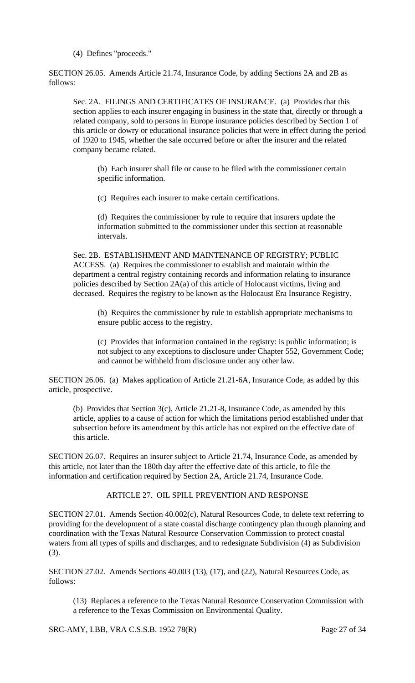(4) Defines "proceeds."

SECTION 26.05. Amends Article 21.74, Insurance Code, by adding Sections 2A and 2B as follows:

Sec. 2A. FILINGS AND CERTIFICATES OF INSURANCE. (a) Provides that this section applies to each insurer engaging in business in the state that, directly or through a related company, sold to persons in Europe insurance policies described by Section 1 of this article or dowry or educational insurance policies that were in effect during the period of 1920 to 1945, whether the sale occurred before or after the insurer and the related company became related.

(b) Each insurer shall file or cause to be filed with the commissioner certain specific information.

(c) Requires each insurer to make certain certifications.

(d) Requires the commissioner by rule to require that insurers update the information submitted to the commissioner under this section at reasonable intervals.

Sec. 2B. ESTABLISHMENT AND MAINTENANCE OF REGISTRY; PUBLIC ACCESS. (a) Requires the commissioner to establish and maintain within the department a central registry containing records and information relating to insurance policies described by Section 2A(a) of this article of Holocaust victims, living and deceased. Requires the registry to be known as the Holocaust Era Insurance Registry.

(b) Requires the commissioner by rule to establish appropriate mechanisms to ensure public access to the registry.

(c) Provides that information contained in the registry: is public information; is not subject to any exceptions to disclosure under Chapter 552, Government Code; and cannot be withheld from disclosure under any other law.

SECTION 26.06. (a) Makes application of Article 21.21-6A, Insurance Code, as added by this article, prospective.

(b) Provides that Section 3(c), Article 21.21-8, Insurance Code, as amended by this article, applies to a cause of action for which the limitations period established under that subsection before its amendment by this article has not expired on the effective date of this article.

SECTION 26.07. Requires an insurer subject to Article 21.74, Insurance Code, as amended by this article, not later than the 180th day after the effective date of this article, to file the information and certification required by Section 2A, Article 21.74, Insurance Code.

#### ARTICLE 27. OIL SPILL PREVENTION AND RESPONSE

SECTION 27.01. Amends Section 40.002(c), Natural Resources Code, to delete text referring to providing for the development of a state coastal discharge contingency plan through planning and coordination with the Texas Natural Resource Conservation Commission to protect coastal waters from all types of spills and discharges, and to redesignate Subdivision (4) as Subdivision (3).

SECTION 27.02. Amends Sections 40.003 (13), (17), and (22), Natural Resources Code, as follows:

(13) Replaces a reference to the Texas Natural Resource Conservation Commission with a reference to the Texas Commission on Environmental Quality.

SRC-AMY, LBB, VRA C.S.S.B. 1952 78(R) Page 27 of 34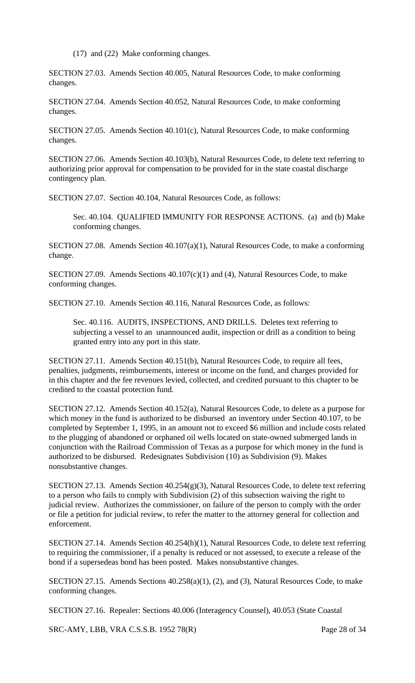(17) and (22) Make conforming changes.

SECTION 27.03. Amends Section 40.005, Natural Resources Code, to make conforming changes.

SECTION 27.04. Amends Section 40.052, Natural Resources Code, to make conforming changes.

SECTION 27.05. Amends Section 40.101(c), Natural Resources Code, to make conforming changes.

SECTION 27.06. Amends Section 40.103(b), Natural Resources Code, to delete text referring to authorizing prior approval for compensation to be provided for in the state coastal discharge contingency plan.

SECTION 27.07. Section 40.104, Natural Resources Code, as follows:

Sec. 40.104. QUALIFIED IMMUNITY FOR RESPONSE ACTIONS. (a) and (b) Make conforming changes.

SECTION 27.08. Amends Section 40.107(a)(1), Natural Resources Code, to make a conforming change.

SECTION 27.09. Amends Sections 40.107(c)(1) and (4), Natural Resources Code, to make conforming changes.

SECTION 27.10. Amends Section 40.116, Natural Resources Code, as follows:

Sec. 40.116. AUDITS, INSPECTIONS, AND DRILLS. Deletes text referring to subjecting a vessel to an unannounced audit, inspection or drill as a condition to being granted entry into any port in this state.

SECTION 27.11. Amends Section 40.151(b), Natural Resources Code, to require all fees, penalties, judgments, reimbursements, interest or income on the fund, and charges provided for in this chapter and the fee revenues levied, collected, and credited pursuant to this chapter to be credited to the coastal protection fund.

SECTION 27.12. Amends Section 40.152(a), Natural Resources Code, to delete as a purpose for which money in the fund is authorized to be disbursed an inventory under Section 40.107, to be completed by September 1, 1995, in an amount not to exceed \$6 million and include costs related to the plugging of abandoned or orphaned oil wells located on state-owned submerged lands in conjunction with the Railroad Commission of Texas as a purpose for which money in the fund is authorized to be disbursed. Redesignates Subdivision (10) as Subdivision (9). Makes nonsubstantive changes.

SECTION 27.13. Amends Section 40.254(g)(3), Natural Resources Code, to delete text referring to a person who fails to comply with Subdivision (2) of this subsection waiving the right to judicial review. Authorizes the commissioner, on failure of the person to comply with the order or file a petition for judicial review, to refer the matter to the attorney general for collection and enforcement.

SECTION 27.14. Amends Section 40.254(h)(1), Natural Resources Code, to delete text referring to requiring the commissioner, if a penalty is reduced or not assessed, to execute a release of the bond if a supersedeas bond has been posted. Makes nonsubstantive changes.

SECTION 27.15. Amends Sections 40.258(a)(1), (2), and (3), Natural Resources Code, to make conforming changes.

SECTION 27.16. Repealer: Sections 40.006 (Interagency Counsel), 40.053 (State Coastal

SRC-AMY, LBB, VRA C.S.S.B. 1952 78(R) Page 28 of 34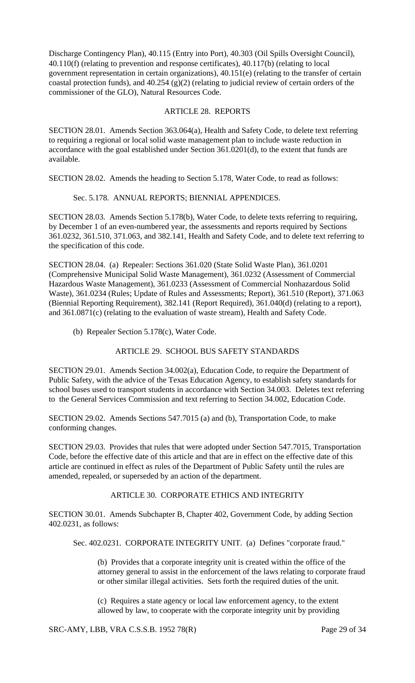Discharge Contingency Plan), 40.115 (Entry into Port), 40.303 (Oil Spills Oversight Council), 40.110(f) (relating to prevention and response certificates), 40.117(b) (relating to local government representation in certain organizations), 40.151(e) (relating to the transfer of certain coastal protection funds), and 40.254 (g)(2) (relating to judicial review of certain orders of the commissioner of the GLO), Natural Resources Code.

#### ARTICLE 28. REPORTS

SECTION 28.01. Amends Section 363.064(a), Health and Safety Code, to delete text referring to requiring a regional or local solid waste management plan to include waste reduction in accordance with the goal established under Section 361.0201(d), to the extent that funds are available.

SECTION 28.02. Amends the heading to Section 5.178, Water Code, to read as follows:

#### Sec. 5.178. ANNUAL REPORTS; BIENNIAL APPENDICES.

SECTION 28.03. Amends Section 5.178(b), Water Code, to delete texts referring to requiring, by December 1 of an even-numbered year, the assessments and reports required by Sections 361.0232, 361.510, 371.063, and 382.141, Health and Safety Code, and to delete text referring to the specification of this code.

SECTION 28.04. (a) Repealer: Sections 361.020 (State Solid Waste Plan), 361.0201 (Comprehensive Municipal Solid Waste Management), 361.0232 (Assessment of Commercial Hazardous Waste Management), 361.0233 (Assessment of Commercial Nonhazardous Solid Waste), 361.0234 (Rules; Update of Rules and Assessments; Report), 361.510 (Report), 371.063 (Biennial Reporting Requirement), 382.141 (Report Required), 361.040(d) (relating to a report), and 361.0871(c) (relating to the evaluation of waste stream), Health and Safety Code.

(b) Repealer Section 5.178(c), Water Code.

#### ARTICLE 29. SCHOOL BUS SAFETY STANDARDS

SECTION 29.01. Amends Section 34.002(a), Education Code, to require the Department of Public Safety, with the advice of the Texas Education Agency, to establish safety standards for school buses used to transport students in accordance with Section 34.003. Deletes text referring to the General Services Commission and text referring to Section 34.002, Education Code.

SECTION 29.02. Amends Sections 547.7015 (a) and (b), Transportation Code, to make conforming changes.

SECTION 29.03. Provides that rules that were adopted under Section 547.7015, Transportation Code, before the effective date of this article and that are in effect on the effective date of this article are continued in effect as rules of the Department of Public Safety until the rules are amended, repealed, or superseded by an action of the department.

### ARTICLE 30. CORPORATE ETHICS AND INTEGRITY

SECTION 30.01. Amends Subchapter B, Chapter 402, Government Code, by adding Section 402.0231, as follows:

Sec. 402.0231. CORPORATE INTEGRITY UNIT. (a) Defines "corporate fraud."

(b) Provides that a corporate integrity unit is created within the office of the attorney general to assist in the enforcement of the laws relating to corporate fraud or other similar illegal activities. Sets forth the required duties of the unit.

(c) Requires a state agency or local law enforcement agency, to the extent allowed by law, to cooperate with the corporate integrity unit by providing

SRC-AMY, LBB, VRA C.S.S.B. 1952 78(R) Page 29 of 34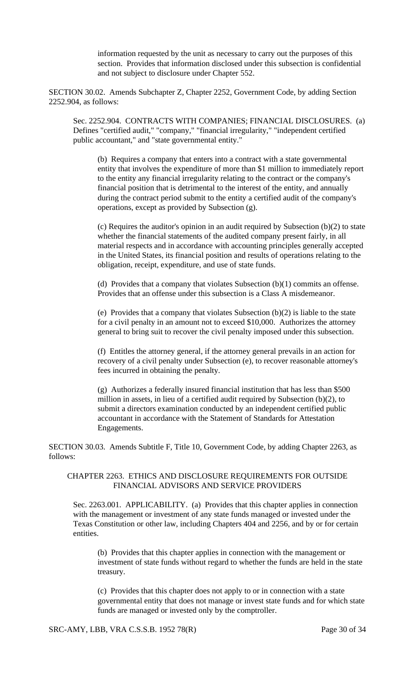information requested by the unit as necessary to carry out the purposes of this section. Provides that information disclosed under this subsection is confidential and not subject to disclosure under Chapter 552.

SECTION 30.02. Amends Subchapter Z, Chapter 2252, Government Code, by adding Section 2252.904, as follows:

Sec. 2252.904. CONTRACTS WITH COMPANIES; FINANCIAL DISCLOSURES. (a) Defines "certified audit," "company," "financial irregularity," "independent certified public accountant," and "state governmental entity."

(b) Requires a company that enters into a contract with a state governmental entity that involves the expenditure of more than \$1 million to immediately report to the entity any financial irregularity relating to the contract or the company's financial position that is detrimental to the interest of the entity, and annually during the contract period submit to the entity a certified audit of the company's operations, except as provided by Subsection (g).

(c) Requires the auditor's opinion in an audit required by Subsection (b)(2) to state whether the financial statements of the audited company present fairly, in all material respects and in accordance with accounting principles generally accepted in the United States, its financial position and results of operations relating to the obligation, receipt, expenditure, and use of state funds.

(d) Provides that a company that violates Subsection (b)(1) commits an offense. Provides that an offense under this subsection is a Class A misdemeanor.

(e) Provides that a company that violates Subsection (b)(2) is liable to the state for a civil penalty in an amount not to exceed \$10,000. Authorizes the attorney general to bring suit to recover the civil penalty imposed under this subsection.

(f) Entitles the attorney general, if the attorney general prevails in an action for recovery of a civil penalty under Subsection (e), to recover reasonable attorney's fees incurred in obtaining the penalty.

(g) Authorizes a federally insured financial institution that has less than \$500 million in assets, in lieu of a certified audit required by Subsection (b)(2), to submit a directors examination conducted by an independent certified public accountant in accordance with the Statement of Standards for Attestation Engagements.

SECTION 30.03. Amends Subtitle F, Title 10, Government Code, by adding Chapter 2263, as follows:

#### CHAPTER 2263. ETHICS AND DISCLOSURE REQUIREMENTS FOR OUTSIDE FINANCIAL ADVISORS AND SERVICE PROVIDERS

Sec. 2263.001. APPLICABILITY. (a) Provides that this chapter applies in connection with the management or investment of any state funds managed or invested under the Texas Constitution or other law, including Chapters 404 and 2256, and by or for certain entities.

(b) Provides that this chapter applies in connection with the management or investment of state funds without regard to whether the funds are held in the state treasury.

(c) Provides that this chapter does not apply to or in connection with a state governmental entity that does not manage or invest state funds and for which state funds are managed or invested only by the comptroller.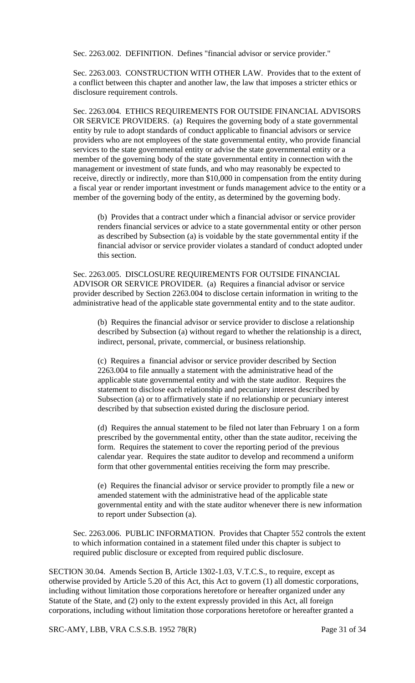Sec. 2263.002. DEFINITION. Defines "financial advisor or service provider."

Sec. 2263.003. CONSTRUCTION WITH OTHER LAW. Provides that to the extent of a conflict between this chapter and another law, the law that imposes a stricter ethics or disclosure requirement controls.

Sec. 2263.004. ETHICS REQUIREMENTS FOR OUTSIDE FINANCIAL ADVISORS OR SERVICE PROVIDERS. (a) Requires the governing body of a state governmental entity by rule to adopt standards of conduct applicable to financial advisors or service providers who are not employees of the state governmental entity, who provide financial services to the state governmental entity or advise the state governmental entity or a member of the governing body of the state governmental entity in connection with the management or investment of state funds, and who may reasonably be expected to receive, directly or indirectly, more than \$10,000 in compensation from the entity during a fiscal year or render important investment or funds management advice to the entity or a member of the governing body of the entity, as determined by the governing body.

(b) Provides that a contract under which a financial advisor or service provider renders financial services or advice to a state governmental entity or other person as described by Subsection (a) is voidable by the state governmental entity if the financial advisor or service provider violates a standard of conduct adopted under this section.

Sec. 2263.005. DISCLOSURE REQUIREMENTS FOR OUTSIDE FINANCIAL ADVISOR OR SERVICE PROVIDER. (a) Requires a financial advisor or service provider described by Section 2263.004 to disclose certain information in writing to the administrative head of the applicable state governmental entity and to the state auditor.

(b) Requires the financial advisor or service provider to disclose a relationship described by Subsection (a) without regard to whether the relationship is a direct, indirect, personal, private, commercial, or business relationship.

(c) Requires a financial advisor or service provider described by Section 2263.004 to file annually a statement with the administrative head of the applicable state governmental entity and with the state auditor. Requires the statement to disclose each relationship and pecuniary interest described by Subsection (a) or to affirmatively state if no relationship or pecuniary interest described by that subsection existed during the disclosure period.

(d) Requires the annual statement to be filed not later than February 1 on a form prescribed by the governmental entity, other than the state auditor, receiving the form. Requires the statement to cover the reporting period of the previous calendar year. Requires the state auditor to develop and recommend a uniform form that other governmental entities receiving the form may prescribe.

(e) Requires the financial advisor or service provider to promptly file a new or amended statement with the administrative head of the applicable state governmental entity and with the state auditor whenever there is new information to report under Subsection (a).

Sec. 2263.006. PUBLIC INFORMATION. Provides that Chapter 552 controls the extent to which information contained in a statement filed under this chapter is subject to required public disclosure or excepted from required public disclosure.

SECTION 30.04. Amends Section B, Article 1302-1.03, V.T.C.S., to require, except as otherwise provided by Article 5.20 of this Act, this Act to govern (1) all domestic corporations, including without limitation those corporations heretofore or hereafter organized under any Statute of the State, and (2) only to the extent expressly provided in this Act, all foreign corporations, including without limitation those corporations heretofore or hereafter granted a

SRC-AMY, LBB, VRA C.S.S.B. 1952 78(R) Page 31 of 34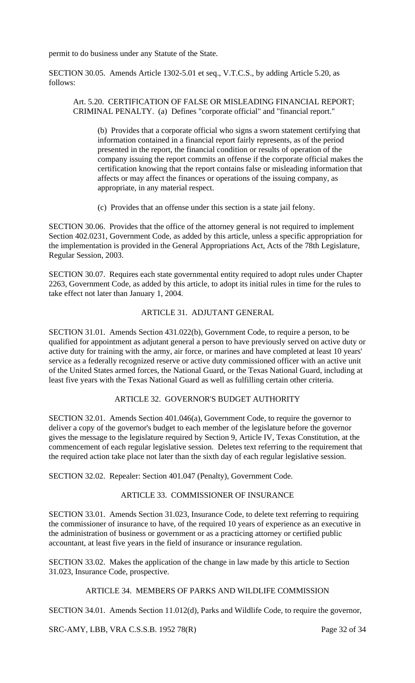permit to do business under any Statute of the State.

SECTION 30.05. Amends Article 1302-5.01 et seq., V.T.C.S., by adding Article 5.20, as follows:

Art. 5.20. CERTIFICATION OF FALSE OR MISLEADING FINANCIAL REPORT; CRIMINAL PENALTY. (a) Defines "corporate official" and "financial report."

(b) Provides that a corporate official who signs a sworn statement certifying that information contained in a financial report fairly represents, as of the period presented in the report, the financial condition or results of operation of the company issuing the report commits an offense if the corporate official makes the certification knowing that the report contains false or misleading information that affects or may affect the finances or operations of the issuing company, as appropriate, in any material respect.

(c) Provides that an offense under this section is a state jail felony.

SECTION 30.06. Provides that the office of the attorney general is not required to implement Section 402.0231, Government Code, as added by this article, unless a specific appropriation for the implementation is provided in the General Appropriations Act, Acts of the 78th Legislature, Regular Session, 2003.

SECTION 30.07. Requires each state governmental entity required to adopt rules under Chapter 2263, Government Code, as added by this article, to adopt its initial rules in time for the rules to take effect not later than January 1, 2004.

### ARTICLE 31. ADJUTANT GENERAL

SECTION 31.01. Amends Section 431.022(b), Government Code, to require a person, to be qualified for appointment as adjutant general a person to have previously served on active duty or active duty for training with the army, air force, or marines and have completed at least 10 years' service as a federally recognized reserve or active duty commissioned officer with an active unit of the United States armed forces, the National Guard, or the Texas National Guard, including at least five years with the Texas National Guard as well as fulfilling certain other criteria.

# ARTICLE 32. GOVERNOR'S BUDGET AUTHORITY

SECTION 32.01. Amends Section 401.046(a), Government Code, to require the governor to deliver a copy of the governor's budget to each member of the legislature before the governor gives the message to the legislature required by Section 9, Article IV, Texas Constitution, at the commencement of each regular legislative session. Deletes text referring to the requirement that the required action take place not later than the sixth day of each regular legislative session.

SECTION 32.02. Repealer: Section 401.047 (Penalty), Government Code.

### ARTICLE 33. COMMISSIONER OF INSURANCE

SECTION 33.01. Amends Section 31.023, Insurance Code, to delete text referring to requiring the commissioner of insurance to have, of the required 10 years of experience as an executive in the administration of business or government or as a practicing attorney or certified public accountant, at least five years in the field of insurance or insurance regulation.

SECTION 33.02. Makes the application of the change in law made by this article to Section 31.023, Insurance Code, prospective.

# ARTICLE 34. MEMBERS OF PARKS AND WILDLIFE COMMISSION

SECTION 34.01. Amends Section 11.012(d), Parks and Wildlife Code, to require the governor,

SRC-AMY, LBB, VRA C.S.S.B. 1952 78(R) Page 32 of 34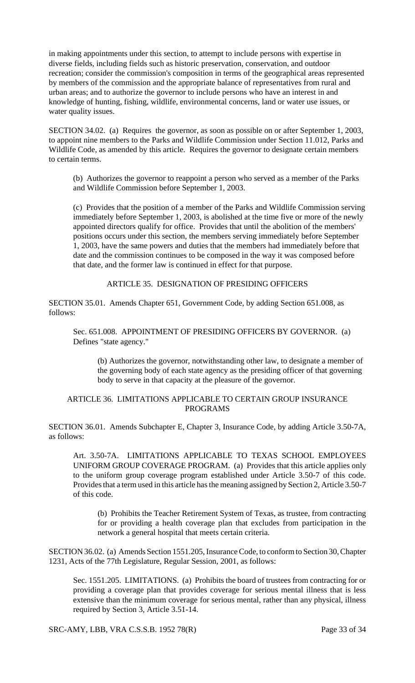in making appointments under this section, to attempt to include persons with expertise in diverse fields, including fields such as historic preservation, conservation, and outdoor recreation; consider the commission's composition in terms of the geographical areas represented by members of the commission and the appropriate balance of representatives from rural and urban areas; and to authorize the governor to include persons who have an interest in and knowledge of hunting, fishing, wildlife, environmental concerns, land or water use issues, or water quality issues.

SECTION 34.02. (a) Requires the governor, as soon as possible on or after September 1, 2003, to appoint nine members to the Parks and Wildlife Commission under Section 11.012, Parks and Wildlife Code, as amended by this article. Requires the governor to designate certain members to certain terms.

(b) Authorizes the governor to reappoint a person who served as a member of the Parks and Wildlife Commission before September 1, 2003.

(c) Provides that the position of a member of the Parks and Wildlife Commission serving immediately before September 1, 2003, is abolished at the time five or more of the newly appointed directors qualify for office. Provides that until the abolition of the members' positions occurs under this section, the members serving immediately before September 1, 2003, have the same powers and duties that the members had immediately before that date and the commission continues to be composed in the way it was composed before that date, and the former law is continued in effect for that purpose.

ARTICLE 35. DESIGNATION OF PRESIDING OFFICERS

SECTION 35.01. Amends Chapter 651, Government Code, by adding Section 651.008, as follows:

Sec. 651.008. APPOINTMENT OF PRESIDING OFFICERS BY GOVERNOR. (a) Defines "state agency."

(b) Authorizes the governor, notwithstanding other law, to designate a member of the governing body of each state agency as the presiding officer of that governing body to serve in that capacity at the pleasure of the governor.

# ARTICLE 36. LIMITATIONS APPLICABLE TO CERTAIN GROUP INSURANCE PROGRAMS

SECTION 36.01. Amends Subchapter E, Chapter 3, Insurance Code, by adding Article 3.50-7A, as follows:

Art. 3.50-7A. LIMITATIONS APPLICABLE TO TEXAS SCHOOL EMPLOYEES UNIFORM GROUP COVERAGE PROGRAM. (a) Provides that this article applies only to the uniform group coverage program established under Article 3.50-7 of this code. Provides that a term used in this article has the meaning assigned by Section 2, Article 3.50-7 of this code.

(b) Prohibits the Teacher Retirement System of Texas, as trustee, from contracting for or providing a health coverage plan that excludes from participation in the network a general hospital that meets certain criteria.

SECTION 36.02. (a) Amends Section 1551.205, Insurance Code, to conform to Section 30, Chapter 1231, Acts of the 77th Legislature, Regular Session, 2001, as follows:

Sec. 1551.205. LIMITATIONS. (a) Prohibits the board of trustees from contracting for or providing a coverage plan that provides coverage for serious mental illness that is less extensive than the minimum coverage for serious mental, rather than any physical, illness required by Section 3, Article 3.51-14.

SRC-AMY, LBB, VRA C.S.S.B. 1952 78(R) Page 33 of 34